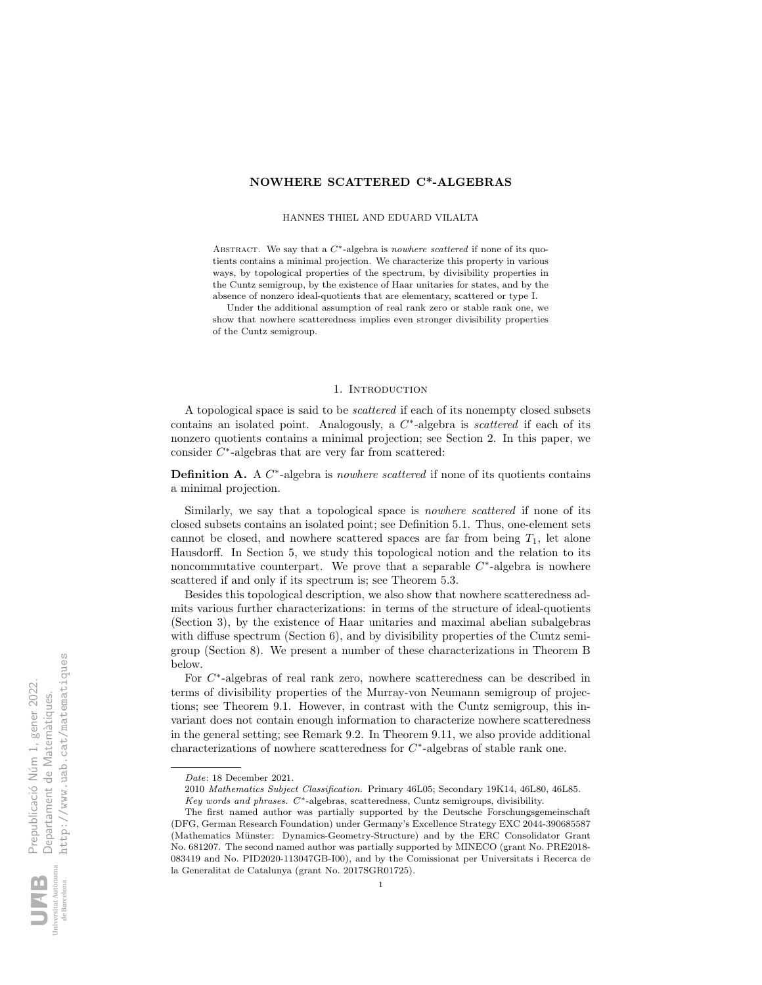# NOWHERE SCATTERED C\*-ALGEBRAS

HANNES THIEL AND EDUARD VILALTA

ABSTRACT. We say that a  $C^*$ -algebra is *nowhere scattered* if none of its quotients contains a minimal projection. We characterize this property in various ways, by topological properties of the spectrum, by divisibility properties in the Cuntz semigroup, by the existence of Haar unitaries for states, and by the absence of nonzero ideal-quotients that are elementary, scattered or type I.

Under the additional assumption of real rank zero or stable rank one, we show that nowhere scatteredness implies even stronger divisibility properties of the Cuntz semigroup.

#### 1. INTRODUCTION

A topological space is said to be scattered if each of its nonempty closed subsets contains an isolated point. Analogously, a  $C^*$ -algebra is *scattered* if each of its nonzero quotients contains a minimal projection; see Section 2. In this paper, we consider  $C^*$ -algebras that are very far from scattered:

**Definition A.** A  $C^*$ -algebra is *nowhere scattered* if none of its quotients contains a minimal projection.

Similarly, we say that a topological space is *nowhere scattered* if none of its closed subsets contains an isolated point; see Definition 5.1. Thus, one-element sets cannot be closed, and nowhere scattered spaces are far from being  $T_1$ , let alone Hausdorff. In Section 5, we study this topological notion and the relation to its noncommutative counterpart. We prove that a separable  $C^*$ -algebra is nowhere scattered if and only if its spectrum is; see Theorem 5.3.

Besides this topological description, we also show that nowhere scatteredness admits various further characterizations: in terms of the structure of ideal-quotients (Section 3), by the existence of Haar unitaries and maximal abelian subalgebras with diffuse spectrum (Section 6), and by divisibility properties of the Cuntz semigroup (Section 8). We present a number of these characterizations in Theorem B below.

For  $C^*$ -algebras of real rank zero, nowhere scatteredness can be described in terms of divisibility properties of the Murray-von Neumann semigroup of projections; see Theorem 9.1. However, in contrast with the Cuntz semigroup, this invariant does not contain enough information to characterize nowhere scatteredness in the general setting; see Remark 9.2. In Theorem 9.11, we also provide additional characterizations of nowhere scatteredness for  $C^*$ -algebras of stable rank one.

Date: 18 December 2021.

<sup>2010</sup> Mathematics Subject Classification. Primary 46L05; Secondary 19K14, 46L80, 46L85. Key words and phrases. C∗-algebras, scatteredness, Cuntz semigroups, divisibility.

The first named author was partially supported by the Deutsche Forschungsgemeinschaft (DFG, German Research Foundation) under Germany's Excellence Strategy EXC 2044-390685587 (Mathematics Münster: Dynamics-Geometry-Structure) and by the ERC Consolidator Grant No. 681207. The second named author was partially supported by MINECO (grant No. PRE2018- 083419 and No. PID2020-113047GB-I00), and by the Comissionat per Universitats i Recerca de la Generalitat de Catalunya (grant No. 2017SGR01725).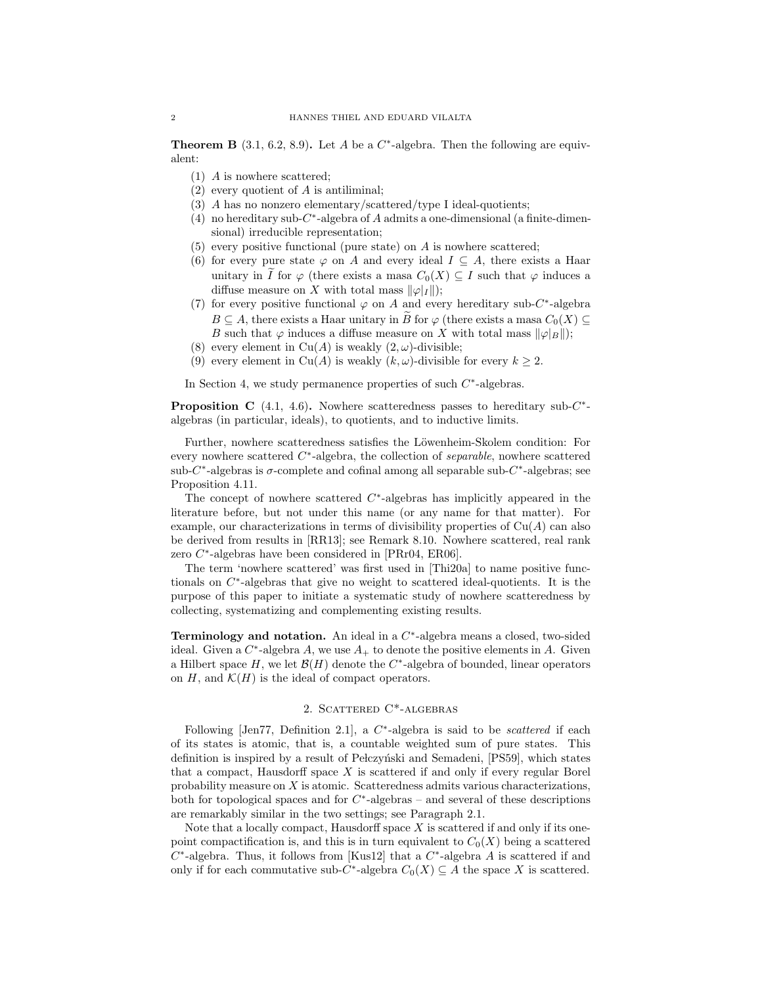**Theorem B** (3.1, 6.2, 8.9). Let A be a  $C^*$ -algebra. Then the following are equivalent:

- (1) A is nowhere scattered;
- (2) every quotient of A is antiliminal;
- (3) A has no nonzero elementary/scattered/type I ideal-quotients;
- (4) no hereditary sub- $C^*$ -algebra of A admits a one-dimensional (a finite-dimensional) irreducible representation;
- $(5)$  every positive functional (pure state) on A is nowhere scattered;
- (6) for every pure state  $\varphi$  on A and every ideal  $I \subseteq A$ , there exists a Haar unitary in I for  $\varphi$  (there exists a masa  $C_0(X) \subseteq I$  such that  $\varphi$  induces a diffuse measure on X with total mass  $\|\varphi|_I\|$ ;
- (7) for every positive functional  $\varphi$  on A and every hereditary sub-C<sup>\*</sup>-algebra  $B \subseteq A$ , there exists a Haar unitary in  $\widetilde{B}$  for  $\varphi$  (there exists a masa  $C_0(X) \subseteq$ B such that  $\varphi$  induces a diffuse measure on X with total mass  $\|\varphi\|_B\|$ ;
- (8) every element in Cu(A) is weakly  $(2, \omega)$ -divisible;
- (9) every element in Cu(A) is weakly  $(k, \omega)$ -divisible for every  $k \geq 2$ .

In Section 4, we study permanence properties of such  $C^*$ -algebras.

**Proposition C** (4.1, 4.6). Nowhere scatteredness passes to hereditary sub- $C^*$ algebras (in particular, ideals), to quotients, and to inductive limits.

Further, nowhere scatteredness satisfies the Löwenheim-Skolem condition: For every nowhere scattered  $C^*$ -algebra, the collection of *separable*, nowhere scattered sub-C<sup>\*</sup>-algebras is  $\sigma$ -complete and cofinal among all separable sub-C<sup>\*</sup>-algebras; see Proposition 4.11.

The concept of nowhere scattered  $C^*$ -algebras has implicitly appeared in the literature before, but not under this name (or any name for that matter). For example, our characterizations in terms of divisibility properties of  $Cu(A)$  can also be derived from results in [RR13]; see Remark 8.10. Nowhere scattered, real rank zero C<sup>\*</sup>-algebras have been considered in [PRr04, ER06].

The term 'nowhere scattered' was first used in [Thi20a] to name positive functionals on C ∗ -algebras that give no weight to scattered ideal-quotients. It is the purpose of this paper to initiate a systematic study of nowhere scatteredness by collecting, systematizing and complementing existing results.

Terminology and notation. An ideal in a C<sup>\*</sup>-algebra means a closed, two-sided ideal. Given a  $C^*$ -algebra A, we use  $A_+$  to denote the positive elements in A. Given a Hilbert space H, we let  $\mathcal{B}(H)$  denote the  $C^*$ -algebra of bounded, linear operators on H, and  $\mathcal{K}(H)$  is the ideal of compact operators.

#### 2. SCATTERED C<sup>\*</sup>-ALGEBRAS

Following [Jen77, Definition 2.1], a  $C^*$ -algebra is said to be *scattered* if each of its states is atomic, that is, a countable weighted sum of pure states. This definition is inspired by a result of Pelczyński and Semadeni, [PS59], which states that a compact, Hausdorff space  $X$  is scattered if and only if every regular Borel probability measure on  $X$  is atomic. Scatteredness admits various characterizations, both for topological spaces and for  $C^*$ -algebras – and several of these descriptions are remarkably similar in the two settings; see Paragraph 2.1.

Note that a locally compact, Hausdorff space  $X$  is scattered if and only if its onepoint compactification is, and this is in turn equivalent to  $C_0(X)$  being a scattered  $C^*$ -algebra. Thus, it follows from [Kus12] that a  $C^*$ -algebra A is scattered if and only if for each commutative sub- $C^*$ -algebra  $C_0(X) \subseteq A$  the space X is scattered.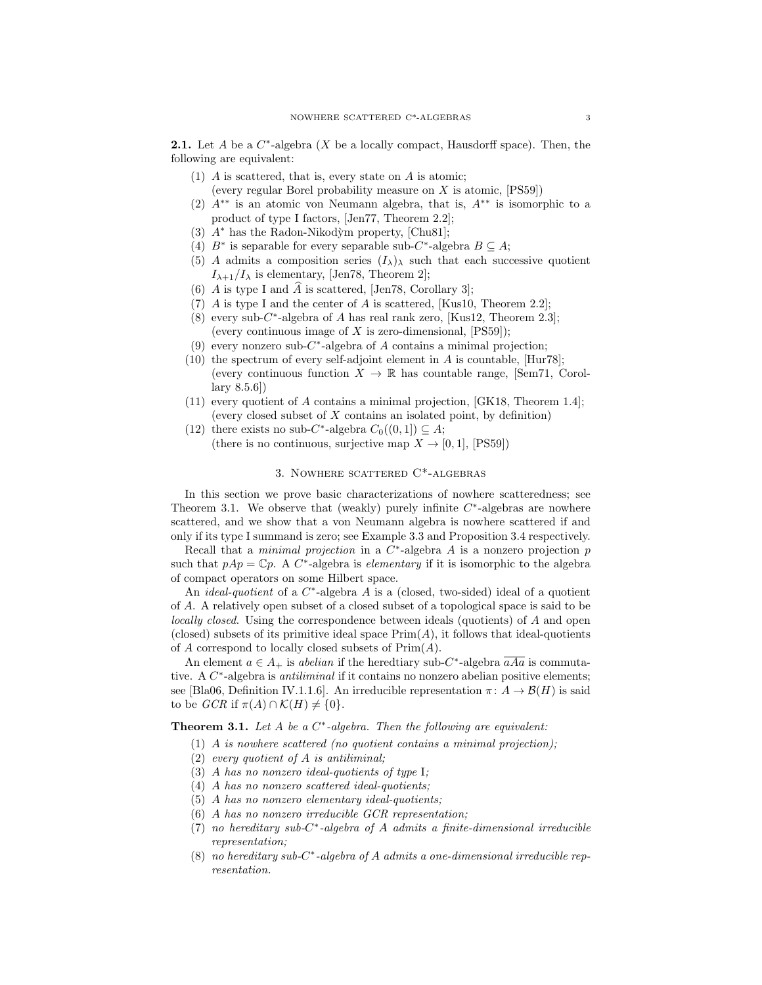**2.1.** Let A be a  $C^*$ -algebra  $(X$  be a locally compact, Hausdorff space). Then, the following are equivalent:

- (1) A is scattered, that is, every state on A is atomic; (every regular Borel probability measure on  $X$  is atomic,  $[PS59]$ )
- (2) A∗∗ is an atomic von Neumann algebra, that is, A∗∗ is isomorphic to a product of type I factors, [Jen77, Theorem 2.2];
- (3)  $A^*$  has the Radon-Nikodỳm property, [Chu81];
- (4)  $B^*$  is separable for every separable sub-C<sup>\*</sup>-algebra  $B \subseteq A$ ;
- (5) A admits a composition series  $(I_{\lambda})_{\lambda}$  such that each successive quotient  $I_{\lambda+1}/I_{\lambda}$  is elementary, [Jen78, Theorem 2];
- (6) A is type I and A is scattered, [Jen78, Corollary 3];
- (7) A is type I and the center of A is scattered, [Kus10, Theorem 2.2];
- (8) every sub-C<sup>\*</sup>-algebra of A has real rank zero, [Kus12, Theorem 2.3]; (every continuous image of X is zero-dimensional,  $[PS59]$ );
- (9) every nonzero sub- $C^*$ -algebra of A contains a minimal projection;
- (10) the spectrum of every self-adjoint element in  $A$  is countable,  $[Hur78]$ ; (every continuous function  $X \to \mathbb{R}$  has countable range, [Sem71, Corollary 8.5.6])
- (11) every quotient of A contains a minimal projection, [GK18, Theorem 1.4]; (every closed subset of  $X$  contains an isolated point, by definition)
- (12) there exists no sub-C<sup>\*</sup>-algebra  $C_0((0,1]) \subseteq A$ ; (there is no continuous, surjective map  $X \to [0, 1]$ , [PS59])

## 3. Nowhere scattered C\*-algebras

In this section we prove basic characterizations of nowhere scatteredness; see Theorem 3.1. We observe that (weakly) purely infinite  $C^*$ -algebras are nowhere scattered, and we show that a von Neumann algebra is nowhere scattered if and only if its type I summand is zero; see Example 3.3 and Proposition 3.4 respectively.

Recall that a *minimal projection* in a  $C^*$ -algebra A is a nonzero projection p such that  $pAp = \mathbb{C}p$ . A  $C^*$ -algebra is *elementary* if it is isomorphic to the algebra of compact operators on some Hilbert space.

An *ideal-quotient* of a  $C^*$ -algebra A is a (closed, two-sided) ideal of a quotient of A. A relatively open subset of a closed subset of a topological space is said to be locally closed. Using the correspondence between ideals (quotients) of A and open (closed) subsets of its primitive ideal space  $Prim(A)$ , it follows that ideal-quotients of  $A$  correspond to locally closed subsets of  $Prim(A)$ .

An element  $a \in A_+$  is *abelian* if the heredtiary sub-C<sup>\*</sup>-algebra  $aAa$  is commutative. A  $C^*$ -algebra is *antiliminal* if it contains no nonzero abelian positive elements; see [Bla06, Definition IV.1.1.6]. An irreducible representation  $\pi: A \to \mathcal{B}(H)$  is said to be  $GCR$  if  $\pi(A) \cap \mathcal{K}(H) \neq \{0\}.$ 

**Theorem 3.1.** Let A be a  $C^*$ -algebra. Then the following are equivalent:

- (1) A is nowhere scattered (no quotient contains a minimal projection);
- (2) every quotient of  $A$  is antiliminal;
- (3) A has no nonzero ideal-quotients of type I;
- (4) A has no nonzero scattered ideal-quotients;
- (5) A has no nonzero elementary ideal-quotients;
- (6) A has no nonzero irreducible GCR representation;
- $(7)$  no hereditary sub- $C^*$ -algebra of A admits a finite-dimensional irreducible representation;
- $(8)$  no hereditary sub-C<sup>\*</sup>-algebra of A admits a one-dimensional irreducible representation.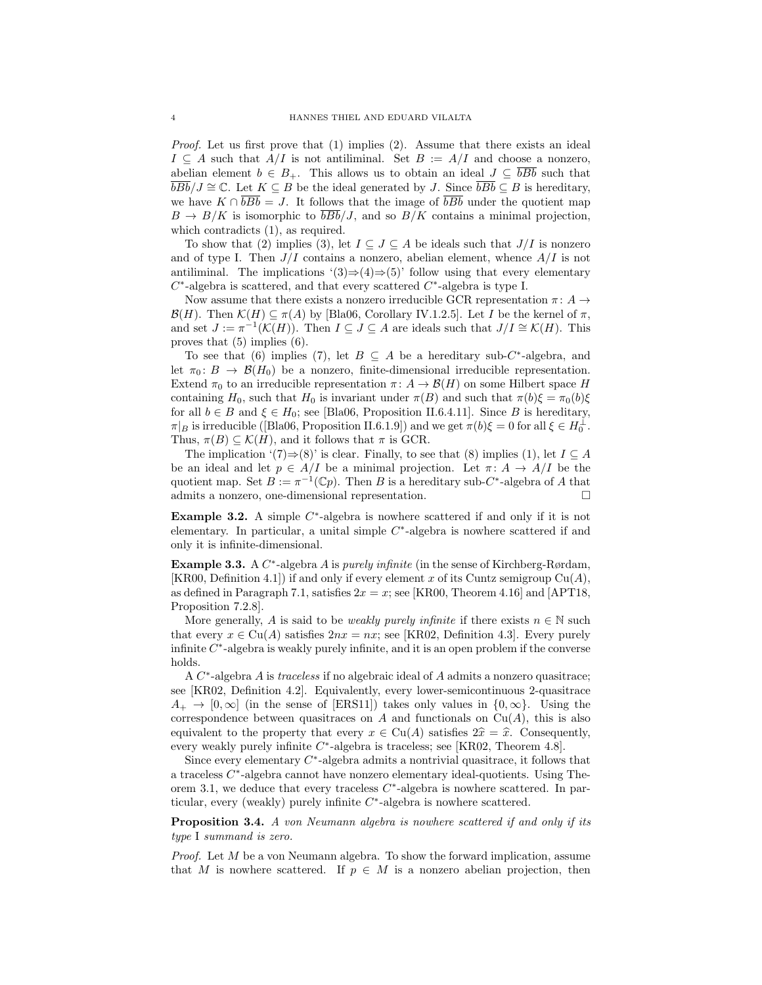Proof. Let us first prove that (1) implies (2). Assume that there exists an ideal  $I \subseteq A$  such that  $A/I$  is not antiliminal. Set  $B := A/I$  and choose a nonzero, abelian element  $b \in B_+$ . This allows us to obtain an ideal  $J \subseteq \overline{bBb}$  such that  $\overline{bBb}/J \cong \mathbb{C}$ . Let  $K \subseteq B$  be the ideal generated by J. Since  $\overline{bBb} \subseteq B$  is hereditary, we have  $K \cap \overline{bBb} = J$ . It follows that the image of  $\overline{bBb}$  under the quotient map  $B \to B/K$  is isomorphic to  $\overline{bBb}/J$ , and so  $B/K$  contains a minimal projection, which contradicts  $(1)$ , as required.

To show that (2) implies (3), let  $I \subseteq J \subseteq A$  be ideals such that  $J/I$  is nonzero and of type I. Then  $J/I$  contains a nonzero, abelian element, whence  $A/I$  is not antiliminal. The implications '(3) $\Rightarrow$ (4) $\Rightarrow$ (5)' follow using that every elementary  $C^*$ -algebra is scattered, and that every scattered  $C^*$ -algebra is type I.

Now assume that there exists a nonzero irreducible GCR representation  $\pi: A \rightarrow$  $\mathcal{B}(H)$ . Then  $\mathcal{K}(H) \subseteq \pi(A)$  by [Bla06, Corollary IV.1.2.5]. Let I be the kernel of  $\pi$ , and set  $J := \pi^{-1}(\mathcal{K}(H))$ . Then  $I \subseteq J \subseteq A$  are ideals such that  $J/I \cong \mathcal{K}(H)$ . This proves that (5) implies (6).

To see that (6) implies (7), let  $B \subseteq A$  be a hereditary sub-C\*-algebra, and let  $\pi_0: B \to \mathcal{B}(H_0)$  be a nonzero, finite-dimensional irreducible representation. Extend  $\pi_0$  to an irreducible representation  $\pi: A \to \mathcal{B}(H)$  on some Hilbert space H containing H<sub>0</sub>, such that H<sub>0</sub> is invariant under  $\pi(B)$  and such that  $\pi(b)\xi = \pi_0(b)\xi$ for all  $b \in B$  and  $\xi \in H_0$ ; see [Bla06, Proposition II.6.4.11]. Since B is hereditary,  $\pi|_B$  is irreducible ([Bla06, Proposition II.6.1.9]) and we get  $\pi(b)\xi = 0$  for all  $\xi \in H_0^{\perp}$ . Thus,  $\pi(B) \subseteq \mathcal{K}(H)$ , and it follows that  $\pi$  is GCR.

The implication '(7)⇒(8)' is clear. Finally, to see that (8) implies (1), let  $I \subseteq A$ be an ideal and let  $p \in A/I$  be a minimal projection. Let  $\pi: A \to A/I$  be the quotient map. Set  $B := \pi^{-1}(\mathbb{C}p)$ . Then B is a hereditary sub-C<sup>\*</sup>-algebra of A that admits a nonzero, one-dimensional representation.

**Example 3.2.** A simple  $C^*$ -algebra is nowhere scattered if and only if it is not elementary. In particular, a unital simple  $C^*$ -algebra is nowhere scattered if and only it is infinite-dimensional.

**Example 3.3.** A  $C^*$ -algebra A is *purely infinite* (in the sense of Kirchberg-Rørdam, [KR00, Definition 4.1]) if and only if every element x of its Cuntz semigroup  $Cu(A)$ , as defined in Paragraph 7.1, satisfies  $2x = x$ ; see [KR00, Theorem 4.16] and [APT18, Proposition 7.2.8].

More generally, A is said to be *weakly purely infinite* if there exists  $n \in \mathbb{N}$  such that every  $x \in Cu(A)$  satisfies  $2nx = nx$ ; see [KR02, Definition 4.3]. Every purely infinite  $C^*$ -algebra is weakly purely infinite, and it is an open problem if the converse holds.

A C<sup>\*</sup>-algebra A is traceless if no algebraic ideal of A admits a nonzero quasitrace; see [KR02, Definition 4.2]. Equivalently, every lower-semicontinuous 2-quasitrace  $A_+ \to [0, \infty]$  (in the sense of [ERS11]) takes only values in  $\{0, \infty\}$ . Using the correspondence between quasitraces on A and functionals on  $Cu(A)$ , this is also equivalent to the property that every  $x \in Cu(A)$  satisfies  $2\hat{x} = \hat{x}$ . Consequently, every weakly purely infinite  $C^*$ -algebra is traceless; see [KR02, Theorem 4.8].

Since every elementary  $C^*$ -algebra admits a nontrivial quasitrace, it follows that a traceless C<sup>\*</sup>-algebra cannot have nonzero elementary ideal-quotients. Using Theorem 3.1, we deduce that every traceless  $C^*$ -algebra is nowhere scattered. In particular, every (weakly) purely infinite  $C^*$ -algebra is nowhere scattered.

Proposition 3.4. A von Neumann algebra is nowhere scattered if and only if its type I summand is zero.

Proof. Let M be a von Neumann algebra. To show the forward implication, assume that M is nowhere scattered. If  $p \in M$  is a nonzero abelian projection, then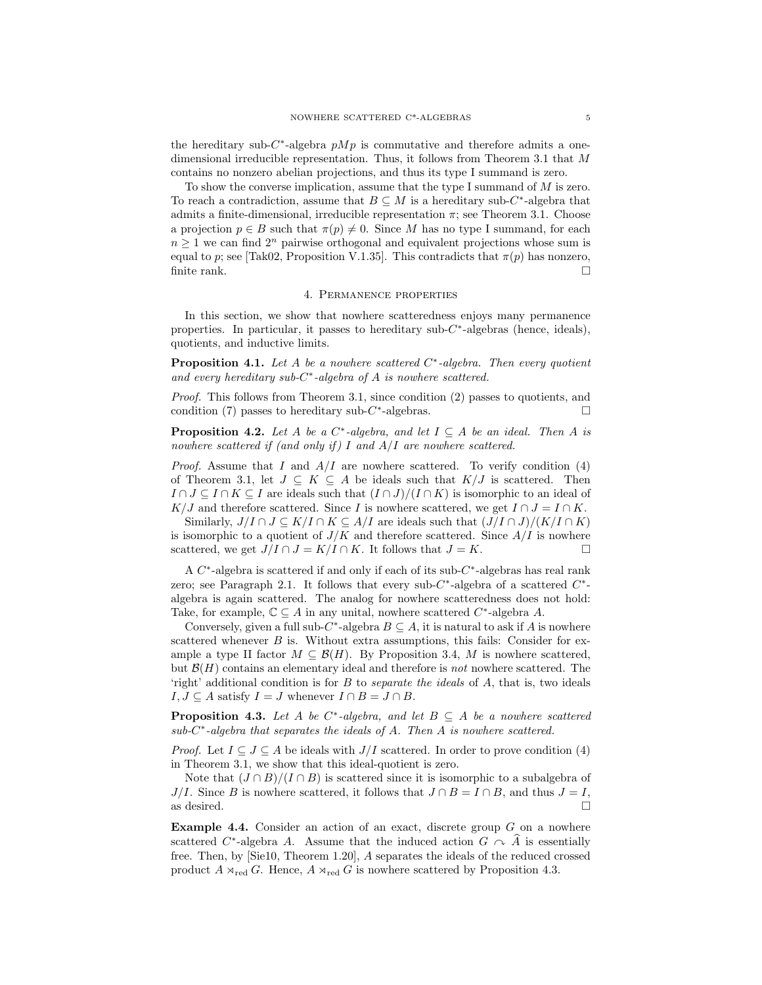the hereditary sub- $C^*$ -algebra  $pMp$  is commutative and therefore admits a onedimensional irreducible representation. Thus, it follows from Theorem 3.1 that M contains no nonzero abelian projections, and thus its type I summand is zero.

To show the converse implication, assume that the type I summand of M is zero. To reach a contradiction, assume that  $B \subseteq M$  is a hereditary sub-C<sup>\*</sup>-algebra that admits a finite-dimensional, irreducible representation  $\pi$ ; see Theorem 3.1. Choose a projection  $p \in B$  such that  $\pi(p) \neq 0$ . Since M has no type I summand, for each  $n \geq 1$  we can find  $2^n$  pairwise orthogonal and equivalent projections whose sum is equal to p; see [Tak02, Proposition V.1.35]. This contradicts that  $\pi(p)$  has nonzero, finite rank.

### 4. Permanence properties

In this section, we show that nowhere scatteredness enjoys many permanence properties. In particular, it passes to hereditary  $sub-C^*$ -algebras (hence, ideals), quotients, and inductive limits.

**Proposition 4.1.** Let A be a nowhere scattered  $C^*$ -algebra. Then every quotient and every hereditary sub- $C^*$ -algebra of A is nowhere scattered.

Proof. This follows from Theorem 3.1, since condition (2) passes to quotients, and condition (7) passes to hereditary sub- $C^*$ -algebras.

**Proposition 4.2.** Let A be a  $C^*$ -algebra, and let  $I \subseteq A$  be an ideal. Then A is nowhere scattered if (and only if) I and  $A/I$  are nowhere scattered.

*Proof.* Assume that I and  $A/I$  are nowhere scattered. To verify condition (4) of Theorem 3.1, let  $J \subseteq K \subseteq A$  be ideals such that  $K/J$  is scattered. Then  $I \cap J \subseteq I \cap K \subseteq I$  are ideals such that  $(I \cap J)/(I \cap K)$  is isomorphic to an ideal of K/J and therefore scattered. Since I is nowhere scattered, we get  $I \cap J = I \cap K$ .

Similarly,  $J/I \cap J \subseteq K/I \cap K \subseteq A/I$  are ideals such that  $(J/I \cap J)/(K/I \cap K)$ is isomorphic to a quotient of  $J/K$  and therefore scattered. Since  $A/I$  is nowhere scattered, we get  $J/I \cap J = K/I \cap K$ . It follows that  $J = K$ .

A  $C^*$ -algebra is scattered if and only if each of its sub- $C^*$ -algebras has real rank zero; see Paragraph 2.1. It follows that every sub- $C^*$ -algebra of a scattered  $C^*$ algebra is again scattered. The analog for nowhere scatteredness does not hold: Take, for example,  $\mathbb{C} \subseteq A$  in any unital, nowhere scattered  $C^*$ -algebra A.

Conversely, given a full sub- $C^*$ -algebra  $B \subseteq A$ , it is natural to ask if A is nowhere scattered whenever  $B$  is. Without extra assumptions, this fails: Consider for example a type II factor  $M \subseteq \mathcal{B}(H)$ . By Proposition 3.4, M is nowhere scattered, but  $\mathcal{B}(H)$  contains an elementary ideal and therefore is not nowhere scattered. The 'right' additional condition is for  $B$  to *separate the ideals* of  $A$ , that is, two ideals  $I, J \subseteq A$  satisfy  $I = J$  whenever  $I \cap B = J \cap B$ .

**Proposition 4.3.** Let A be  $C^*$ -algebra, and let  $B \subseteq A$  be a nowhere scattered  $sub-C^*$ -algebra that separates the ideals of A. Then A is nowhere scattered.

*Proof.* Let  $I \subseteq J \subseteq A$  be ideals with  $J/I$  scattered. In order to prove condition (4) in Theorem 3.1, we show that this ideal-quotient is zero.

Note that  $(J \cap B)/(I \cap B)$  is scattered since it is isomorphic to a subalgebra of  $J/I$ . Since B is nowhere scattered, it follows that  $J \cap B = I \cap B$ , and thus  $J = I$ , as desired. as desired.  $\Box$ 

**Example 4.4.** Consider an action of an exact, discrete group  $G$  on a nowhere scattered  $C^*$ -algebra A. Assume that the induced action  $G \cap A$  is essentially free. Then, by [Sie10, Theorem 1.20], A separates the ideals of the reduced crossed product  $A \rtimes_{\text{red}} G$ . Hence,  $A \rtimes_{\text{red}} G$  is nowhere scattered by Proposition 4.3.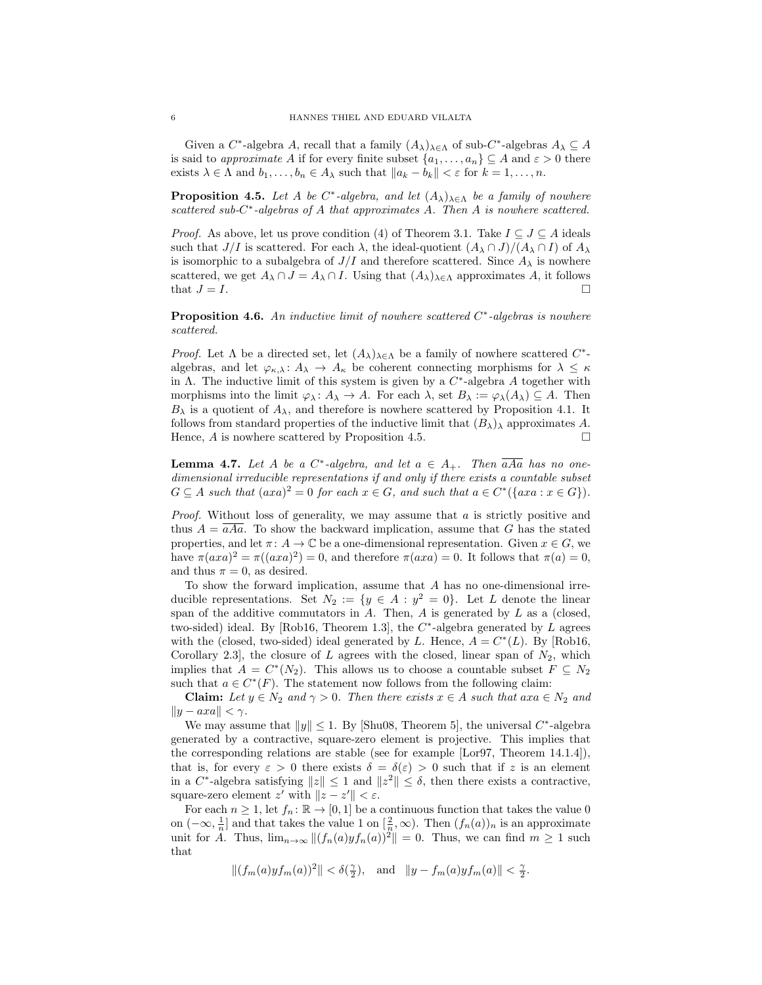Given a  $C^*$ -algebra A, recall that a family  $(A_{\lambda})_{\lambda \in \Lambda}$  of sub- $C^*$ -algebras  $A_{\lambda} \subseteq A$ is said to approximate A if for every finite subset  $\{a_1, \ldots, a_n\} \subseteq A$  and  $\varepsilon > 0$  there exists  $\lambda \in \Lambda$  and  $b_1, \ldots, b_n \in A_\lambda$  such that  $||a_k - b_k|| < \varepsilon$  for  $k = 1, \ldots, n$ .

**Proposition 4.5.** Let A be  $C^*$ -algebra, and let  $(A_{\lambda})_{\lambda \in \Lambda}$  be a family of nowhere scattered sub- $C^*$ -algebras of A that approximates A. Then A is nowhere scattered.

*Proof.* As above, let us prove condition (4) of Theorem 3.1. Take  $I \subseteq J \subseteq A$  ideals such that  $J/I$  is scattered. For each  $\lambda$ , the ideal-quotient  $(A_{\lambda} \cap J)/(A_{\lambda} \cap I)$  of  $A_{\lambda}$ is isomorphic to a subalgebra of  $J/I$  and therefore scattered. Since  $A_{\lambda}$  is nowhere scattered, we get  $A_{\lambda} \cap J = A_{\lambda} \cap I$ . Using that  $(A_{\lambda})_{\lambda \in \Lambda}$  approximates  $A$ , it follows that  $J = I$ that  $J = I$ .

**Proposition 4.6.** An inductive limit of nowhere scattered  $C^*$ -algebras is nowhere scattered.

*Proof.* Let  $\Lambda$  be a directed set, let  $(A_{\lambda})_{\lambda \in \Lambda}$  be a family of nowhere scattered  $C^*$ algebras, and let  $\varphi_{\kappa,\lambda} : A_{\lambda} \to A_{\kappa}$  be coherent connecting morphisms for  $\lambda \leq \kappa$ in  $\Lambda$ . The inductive limit of this system is given by a  $C^*$ -algebra A together with morphisms into the limit  $\varphi_\lambda \colon A_\lambda \to A$ . For each  $\lambda$ , set  $B_\lambda := \varphi_\lambda(A_\lambda) \subseteq A$ . Then  $B_{\lambda}$  is a quotient of  $A_{\lambda}$ , and therefore is nowhere scattered by Proposition 4.1. It follows from standard properties of the inductive limit that  $(B_{\lambda})_{\lambda}$  approximates A. Hence,  $A$  is nowhere scattered by Proposition 4.5.

**Lemma 4.7.** Let A be a  $C^*$ -algebra, and let  $a \in A_+$ . Then aAa has no onedimensional irreducible representations if and only if there exists a countable subset  $G \subseteq A$  such that  $(axa)^2 = 0$  for each  $x \in G$ , and such that  $a \in C^*(\{axa : x \in G\}).$ 

*Proof.* Without loss of generality, we may assume that  $a$  is strictly positive and thus  $A = aAa$ . To show the backward implication, assume that G has the stated properties, and let  $\pi: A \to \mathbb{C}$  be a one-dimensional representation. Given  $x \in G$ , we have  $\pi(axa)^2 = \pi((axa)^2) = 0$ , and therefore  $\pi(axa) = 0$ . It follows that  $\pi(a) = 0$ , and thus  $\pi = 0$ , as desired.

To show the forward implication, assume that A has no one-dimensional irreducible representations. Set  $N_2 := \{y \in A : y^2 = 0\}$ . Let L denote the linear span of the additive commutators in  $A$ . Then,  $A$  is generated by  $L$  as a (closed, two-sided) ideal. By [Rob16, Theorem 1.3], the  $C^*$ -algebra generated by L agrees with the (closed, two-sided) ideal generated by L. Hence,  $A = C^*(L)$ . By [Rob16, Corollary 2.3, the closure of L agrees with the closed, linear span of  $N_2$ , which implies that  $A = C^*(N_2)$ . This allows us to choose a countable subset  $F \subseteq N_2$ such that  $a \in C^*(F)$ . The statement now follows from the following claim:

**Claim:** Let  $y \in N_2$  and  $\gamma > 0$ . Then there exists  $x \in A$  such that  $axa \in N_2$  and  $||y - axa|| < \gamma$ .

We may assume that  $||y|| \leq 1$ . By [Shu08, Theorem 5], the universal  $C^*$ -algebra generated by a contractive, square-zero element is projective. This implies that the corresponding relations are stable (see for example [Lor97, Theorem 14.1.4]), that is, for every  $\varepsilon > 0$  there exists  $\delta = \delta(\varepsilon) > 0$  such that if z is an element in a  $C^*$ -algebra satisfying  $||z|| \leq 1$  and  $||z^2|| \leq \delta$ , then there exists a contractive, square-zero element  $z'$  with  $||z - z'|| < \varepsilon$ .

For each  $n \geq 1$ , let  $f_n: \mathbb{R} \to [0,1]$  be a continuous function that takes the value 0 on  $(-\infty, \frac{1}{n}]$  and that takes the value 1 on  $[\frac{2}{n}, \infty)$ . Then  $(f_n(a))_n$  is an approximate unit for A. Thus,  $\lim_{n\to\infty} \|(f_n(a)yf_n(a))^2\|=0$ . Thus, we can find  $m\geq 1$  such that

$$
||(f_m(a) y f_m(a))^2|| < \delta(\tfrac{\gamma}{2}), \text{ and } ||y - f_m(a) y f_m(a)|| < \tfrac{\gamma}{2}.
$$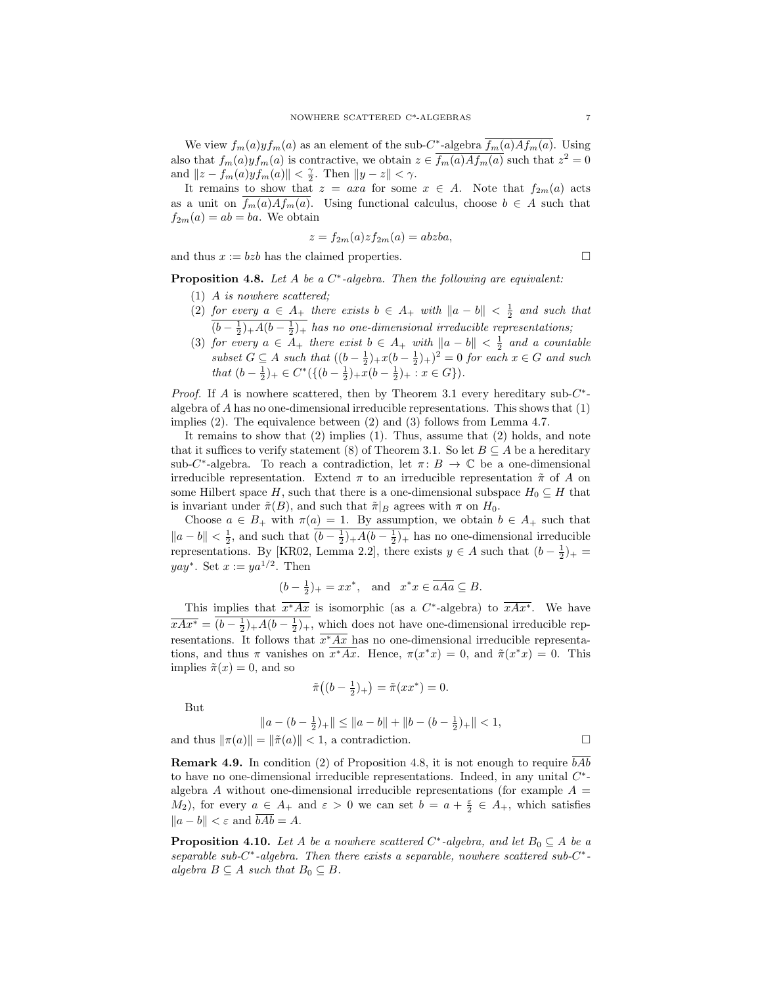We view  $f_m(a)yf_m(a)$  as an element of the sub-C<sup>\*</sup>-algebra  $f_m(a)Af_m(a)$ . Using also that  $f_m(a)yf_m(a)$  is contractive, we obtain  $z \in \overline{f_m(a)Af_m(a)}$  such that  $z^2 = 0$ and  $||z - f_m(a)yf_m(a)|| < \frac{\gamma}{2}$ . Then  $||y - z|| < \gamma$ .

It remains to show that  $z = axa$  for some  $x \in A$ . Note that  $f_{2m}(a)$  acts as a unit on  $f_m(a)Af_m(a)$ . Using functional calculus, choose  $b \in A$  such that  $f_{2m}(a) = ab = ba$ . We obtain

$$
z = f_{2m}(a)z f_{2m}(a) = abzba,
$$

and thus  $x := bzb$  has the claimed properties.

**Proposition 4.8.** Let A be a  $C^*$ -algebra. Then the following are equivalent:

- (1) A is nowhere scattered;
- (2) for every  $a \in A_+$  there exists  $b \in A_+$  with  $||a b|| < \frac{1}{2}$  and such that  $(b-\frac{1}{2})_+A(b-\frac{1}{2})_+$  has no one-dimensional irreducible representations;
- (3) for every  $a \in A_+$  there exist  $b \in A_+$  with  $||a b|| < \frac{1}{2}$  and a countable subset  $G \subseteq A$  such that  $((b - \frac{1}{2})_{+}x(b - \frac{1}{2})_{+})^{2} = 0$  for each  $x \in G$  and such that  $(b - \frac{1}{2})_+$  ∈  $C^*(\{(b - \frac{1}{2})_+ x(b - \frac{1}{2})_+ : x \in G\}).$

*Proof.* If A is nowhere scattered, then by Theorem 3.1 every hereditary sub- $C^*$ algebra of A has no one-dimensional irreducible representations. This shows that (1) implies (2). The equivalence between (2) and (3) follows from Lemma 4.7.

It remains to show that (2) implies (1). Thus, assume that (2) holds, and note that it suffices to verify statement (8) of Theorem 3.1. So let  $B \subseteq A$  be a hereditary sub-C<sup>\*</sup>-algebra. To reach a contradiction, let  $\pi: B \to \mathbb{C}$  be a one-dimensional irreducible representation. Extend  $\pi$  to an irreducible representation  $\tilde{\pi}$  of A on some Hilbert space H, such that there is a one-dimensional subspace  $H_0 \subseteq H$  that is invariant under  $\tilde{\pi}(B)$ , and such that  $\tilde{\pi}|_B$  agrees with  $\pi$  on  $H_0$ .

Choose  $a \in B_+$  with  $\pi(a) = 1$ . By assumption, we obtain  $b \in A_+$  such that  $||a - b|| < \frac{1}{2}$ , and such that  $(b - \frac{1}{2})_+ A(b - \frac{1}{2})_+$  has no one-dimensional irreducible representations. By [KR02, Lemma 2.2], there exists  $y \in A$  such that  $(b - \frac{1}{2})_+$  =  $yay^*$ . Set  $x := ya^{1/2}$ . Then

$$
(b - \frac{1}{2})_{+} = xx^*
$$
, and  $x^*x \in \overline{aAa} \subseteq B$ .

This implies that  $x^*Ax$  is isomorphic (as a C<sup>\*</sup>-algebra) to  $xAx^*$ . We have  $\overline{xAx^*} = (b - \frac{1}{2})_+ A(b - \frac{1}{2})_+,$  which does not have one-dimensional irreducible representations. It follows that  $x^*Ax$  has no one-dimensional irreducible representations, and thus  $\pi$  vanishes on  $x^*Ax$ . Hence,  $\pi(x^*x) = 0$ , and  $\tilde{\pi}(x^*x) = 0$ . This implies  $\tilde{\pi}(x) = 0$ , and so

$$
\tilde{\pi}\big((b-\tfrac{1}{2})_+\big)=\tilde{\pi}(xx^*)=0.
$$

But

$$
||a - (b - \frac{1}{2})_+|| \le ||a - b|| + ||b - (b - \frac{1}{2})_+|| < 1,
$$
  
and thus  $||\pi(a)|| = ||\tilde{\pi}(a)|| < 1$ , a contradiction.

**Remark 4.9.** In condition (2) of Proposition 4.8, it is not enough to require  $bAb$ to have no one-dimensional irreducible representations. Indeed, in any unital  $C^*$ algebra A without one-dimensional irreducible representations (for example  $A =$  $(M_2)$ , for every  $a \in A_+$  and  $\varepsilon > 0$  we can set  $b = a + \frac{\varepsilon}{2} \in A_+$ , which satisfies  $||a - b|| < \varepsilon$  and  $\overline{bAb} = A$ .

**Proposition 4.10.** Let A be a nowhere scattered  $C^*$ -algebra, and let  $B_0 \subseteq A$  be a separable sub-C<sup>\*</sup>-algebra. Then there exists a separable, nowhere scattered sub-C<sup>\*</sup>algebra  $B \subseteq A$  such that  $B_0 \subseteq B$ .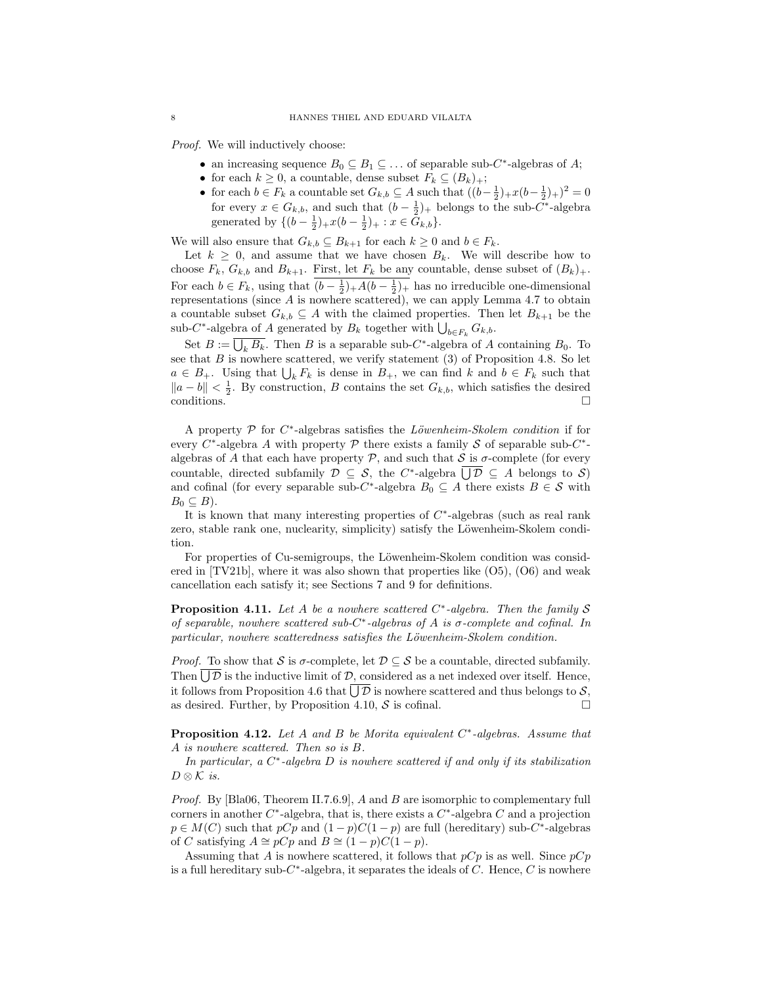Proof. We will inductively choose:

- an increasing sequence  $B_0 \subseteq B_1 \subseteq \ldots$  of separable sub-C<sup>\*</sup>-algebras of A;
- for each  $k \geq 0$ , a countable, dense subset  $F_k \subseteq (B_k)_+$ ;
- for each  $b \in F_k$  a countable set  $G_{k,b} \subseteq A$  such that  $((b-\frac{1}{2})_+x(b-\frac{1}{2})_+)^2 = 0$ for every  $x \in G_{k,b}$ , and such that  $(b - \frac{1}{2})_+$  belongs to the sub-C<sup>\*</sup>-algebra generated by  $\{(b-\frac{1}{2})_+x(b-\frac{1}{2})_+ : x \in G_{k,b}\}.$

We will also ensure that  $G_{k,b} \subseteq B_{k+1}$  for each  $k \geq 0$  and  $b \in F_k$ .

Let  $k \geq 0$ , and assume that we have chosen  $B_k$ . We will describe how to choose  $F_k$ ,  $G_{k,b}$  and  $B_{k+1}$ . First, let  $F_k$  be any countable, dense subset of  $(B_k)_+$ . For each  $b \in F_k$ , using that  $(b - \frac{1}{2})_+ A(b - \frac{1}{2})_+$  has no irreducible one-dimensional representations (since  $A$  is nowhere scattered), we can apply Lemma 4.7 to obtain a countable subset  $G_{k,b} \subseteq A$  with the claimed properties. Then let  $B_{k+1}$  be the sub-C<sup>\*</sup>-algebra of A generated by  $B_k$  together with  $\bigcup_{b \in F_k} G_{k,b}$ .

Set  $B := \overline{\bigcup_k B_k}$ . Then B is a separable sub-C<sup>\*</sup>-algebra of A containing  $B_0$ . To see that  $B$  is nowhere scattered, we verify statement  $(3)$  of Proposition 4.8. So let  $a \in B_+$ . Using that  $\bigcup_k F_k$  is dense in  $B_+$ , we can find k and  $b \in F_k$  such that  $||a - b|| < \frac{1}{2}$ . By construction, B contains the set  $G_{k,b}$ , which satisfies the desired conditions.  $\Box$ 

A property  $P$  for  $C^*$ -algebras satisfies the *Löwenheim-Skolem condition* if for every  $C^*$ -algebra A with property  $\mathcal P$  there exists a family  $\mathcal S$  of separable sub- $C^*$ algebras of A that each have property  $P$ , and such that S is  $\sigma$ -complete (for every countable, directed subfamily  $\mathcal{D} \subseteq \mathcal{S}$ , the C<sup>\*</sup>-algebra  $\overline{\bigcup \mathcal{D}} \subseteq A$  belongs to  $\mathcal{S}$ ) and cofinal (for every separable sub-C<sup>\*</sup>-algebra  $B_0 \subseteq A$  there exists  $B \in \mathcal{S}$  with  $B_0 \subseteq B$ ).

It is known that many interesting properties of  $C^*$ -algebras (such as real rank zero, stable rank one, nuclearity, simplicity) satisfy the Löwenheim-Skolem condition.

For properties of Cu-semigroups, the Löwenheim-Skolem condition was considered in  $[TV21b]$ , where it was also shown that properties like  $(05)$ ,  $(06)$  and weak cancellation each satisfy it; see Sections 7 and 9 for definitions.

**Proposition 4.11.** Let A be a nowhere scattered  $C^*$ -algebra. Then the family S of separable, nowhere scattered sub- $C^*$ -algebras of A is  $\sigma$ -complete and cofinal. In particular, nowhere scatteredness satisfies the Löwenheim-Skolem condition.

*Proof.* To show that S is  $\sigma$ -complete, let  $\mathcal{D} \subseteq \mathcal{S}$  be a countable, directed subfamily. Then  $\overline{\bigcup \mathcal{D}}$  is the inductive limit of  $\mathcal{D}$ , considered as a net indexed over itself. Hence, it follows from Proposition 4.6 that  $\overline{\bigcup \mathcal{D}}$  is nowhere scattered and thus belongs to  $\mathcal{S},$ as desired. Further, by Proposition 4.10,  $S$  is cofinal.

**Proposition 4.12.** Let A and B be Morita equivalent  $C^*$ -algebras. Assume that A is nowhere scattered. Then so is B.

In particular, a  $C^*$ -algebra D is nowhere scattered if and only if its stabilization  $D \otimes \mathcal{K}$  is.

Proof. By [Bla06, Theorem II.7.6.9], A and B are isomorphic to complementary full corners in another  $C^*$ -algebra, that is, there exists a  $C^*$ -algebra C and a projection  $p \in M(C)$  such that  $pCp$  and  $(1-p)C(1-p)$  are full (hereditary) sub-C<sup>\*</sup>-algebras of C satisfying  $A \cong pCp$  and  $B \cong (1-p)C(1-p)$ .

Assuming that A is nowhere scattered, it follows that  $pCp$  is as well. Since  $pCp$ is a full hereditary sub-C\*-algebra, it separates the ideals of C. Hence, C is nowhere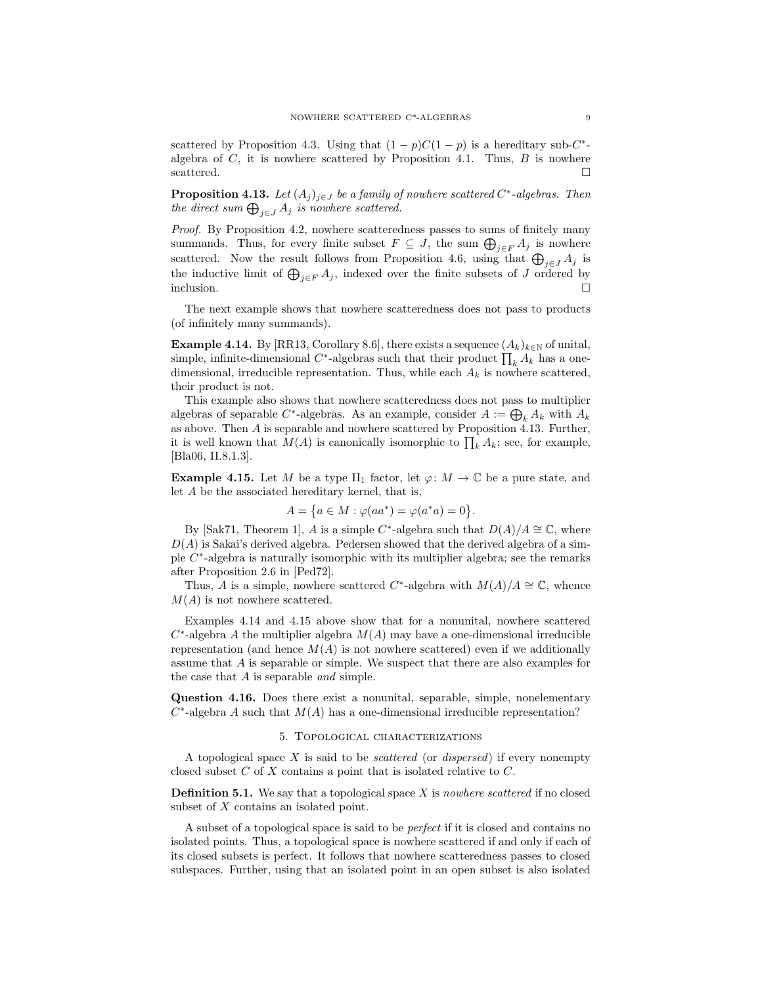scattered by Proposition 4.3. Using that  $(1 - p)C(1 - p)$  is a hereditary sub-C<sup>\*</sup>algebra of  $C$ , it is nowhere scattered by Proposition 4.1. Thus,  $B$  is nowhere scattered.  $\Box$ 

**Proposition 4.13.** Let  $(A_j)_{j\in J}$  be a family of nowhere scattered  $C^*$ -algebras. Then the direct sum  $\bigoplus_{j\in J} A_j$  is nowhere scattered.

Proof. By Proposition 4.2, nowhere scatteredness passes to sums of finitely many summands. Thus, for every finite subset  $F \subseteq J$ , the sum  $\bigoplus_{j \in F} A_j$  is nowhere scattered. Now the result follows from Proposition 4.6, using that  $\bigoplus_{j\in J} A_j$  is the inductive limit of  $\bigoplus_{j\in F} A_j$ , indexed over the finite subsets of J ordered by inclusion.  $\Box$ 

The next example shows that nowhere scatteredness does not pass to products (of infinitely many summands).

**Example 4.14.** By [RR13, Corollary 8.6], there exists a sequence  $(A_k)_{k\in\mathbb{N}}$  of unital, simple, infinite-dimensional  $C^*$ -algebras such that their product  $\prod_k A_k$  has a onedimensional, irreducible representation. Thus, while each  $A_k$  is nowhere scattered, their product is not.

This example also shows that nowhere scatteredness does not pass to multiplier algebras of separable C<sup>\*</sup>-algebras. As an example, consider  $A := \bigoplus_k A_k$  with  $A_k$ as above. Then A is separable and nowhere scattered by Proposition 4.13. Further, it is well known that  $M(A)$  is canonically isomorphic to  $\prod_k A_k$ ; see, for example, [Bla06, II.8.1.3].

**Example 4.15.** Let M be a type II<sub>1</sub> factor, let  $\varphi: M \to \mathbb{C}$  be a pure state, and let A be the associated hereditary kernel, that is,

$$
A=\big\{a\in M: \varphi(aa^*)=\varphi(a^*a)=0\big\}.
$$

By [Sak71, Theorem 1], A is a simple C<sup>\*</sup>-algebra such that  $D(A)/A \cong \mathbb{C}$ , where  $D(A)$  is Sakai's derived algebra. Pedersen showed that the derived algebra of a simple C<sup>\*</sup>-algebra is naturally isomorphic with its multiplier algebra; see the remarks after Proposition 2.6 in [Ped72].

Thus, A is a simple, nowhere scattered C<sup>\*</sup>-algebra with  $M(A)/A \cong \mathbb{C}$ , whence  $M(A)$  is not nowhere scattered.

Examples 4.14 and 4.15 above show that for a nonunital, nowhere scattered  $C^*$ -algebra A the multiplier algebra  $M(A)$  may have a one-dimensional irreducible representation (and hence  $M(A)$  is not nowhere scattered) even if we additionally assume that A is separable or simple. We suspect that there are also examples for the case that  $A$  is separable and simple.

Question 4.16. Does there exist a nonunital, separable, simple, nonelementary  $C^*$ -algebra A such that  $M(A)$  has a one-dimensional irreducible representation?

# 5. Topological characterizations

A topological space  $X$  is said to be *scattered* (or *dispersed*) if every nonempty closed subset C of X contains a point that is isolated relative to C.

**Definition 5.1.** We say that a topological space  $X$  is nowhere scattered if no closed subset of X contains an isolated point.

A subset of a topological space is said to be perfect if it is closed and contains no isolated points. Thus, a topological space is nowhere scattered if and only if each of its closed subsets is perfect. It follows that nowhere scatteredness passes to closed subspaces. Further, using that an isolated point in an open subset is also isolated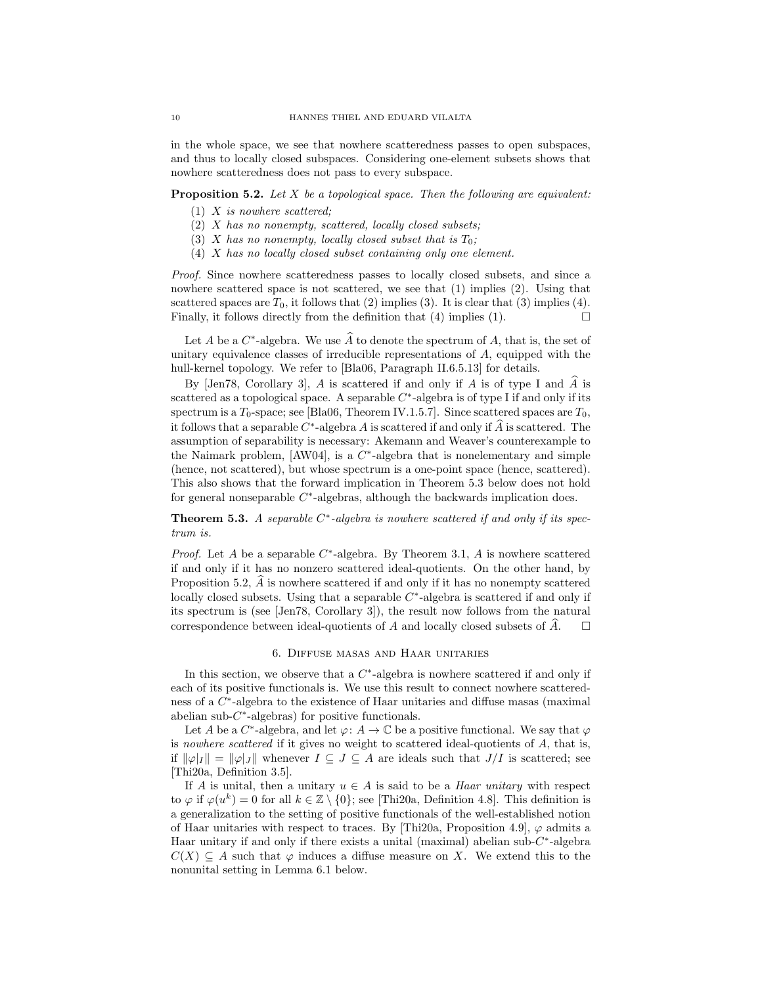in the whole space, we see that nowhere scatteredness passes to open subspaces, and thus to locally closed subspaces. Considering one-element subsets shows that nowhere scatteredness does not pass to every subspace.

# **Proposition 5.2.** Let  $X$  be a topological space. Then the following are equivalent:

- $(1)$  X is nowhere scattered;
- (2) X has no nonempty, scattered, locally closed subsets;
- (3) X has no nonempty, locally closed subset that is  $T_0$ ;
- (4) X has no locally closed subset containing only one element.

Proof. Since nowhere scatteredness passes to locally closed subsets, and since a nowhere scattered space is not scattered, we see that (1) implies (2). Using that scattered spaces are  $T_0$ , it follows that (2) implies (3). It is clear that (3) implies (4). Finally, it follows directly from the definition that  $(4)$  implies  $(1)$ .

Let  $A$  be a  $C^*$ -algebra. We use  $A$  to denote the spectrum of  $A$ , that is, the set of unitary equivalence classes of irreducible representations of  $A$ , equipped with the hull-kernel topology. We refer to [Bla06, Paragraph II.6.5.13] for details.

By  $\lceil \text{Jen78}, \text{ Corollary 3} \rceil$ , A is scattered if and only if A is of type I and A is scattered as a topological space. A separable  $C^*$ -algebra is of type I if and only if its spectrum is a  $T_0$ -space; see [Bla06, Theorem IV.1.5.7]. Since scattered spaces are  $T_0$ , it follows that a separable  $C^*$ -algebra A is scattered if and only if A is scattered. The assumption of separability is necessary: Akemann and Weaver's counterexample to the Naimark problem,  $[AW04]$ , is a  $C^*$ -algebra that is nonelementary and simple (hence, not scattered), but whose spectrum is a one-point space (hence, scattered). This also shows that the forward implication in Theorem 5.3 below does not hold for general nonseparable  $C^*$ -algebras, although the backwards implication does.

**Theorem 5.3.** A separable  $C^*$ -algebra is nowhere scattered if and only if its spectrum is.

*Proof.* Let A be a separable  $C^*$ -algebra. By Theorem 3.1, A is nowhere scattered if and only if it has no nonzero scattered ideal-quotients. On the other hand, by Proposition 5.2,  $\hat{A}$  is nowhere scattered if and only if it has no nonempty scattered locally closed subsets. Using that a separable  $C^*$ -algebra is scattered if and only if its spectrum is (see [Jen78, Corollary 3]), the result now follows from the natural correspondence between ideal-quotients of A and locally closed subsets of A.  $\Box$ 

### 6. Diffuse masas and Haar unitaries

In this section, we observe that a  $C^*$ -algebra is nowhere scattered if and only if each of its positive functionals is. We use this result to connect nowhere scatteredness of a C<sup>\*</sup>-algebra to the existence of Haar unitaries and diffuse masas (maximal abelian sub- $C^*$ -algebras) for positive functionals.

Let A be a  $C^*$ -algebra, and let  $\varphi: A \to \mathbb{C}$  be a positive functional. We say that  $\varphi$ is nowhere scattered if it gives no weight to scattered ideal-quotients of  $A$ , that is, if  $\|\varphi|_I\| = \|\varphi|_J\|$  whenever  $I \subseteq J \subseteq A$  are ideals such that  $J/I$  is scattered; see [Thi20a, Definition 3.5].

If A is unital, then a unitary  $u \in A$  is said to be a *Haar unitary* with respect to  $\varphi$  if  $\varphi(u^k) = 0$  for all  $k \in \mathbb{Z} \setminus \{0\}$ ; see [Thi20a, Definition 4.8]. This definition is a generalization to the setting of positive functionals of the well-established notion of Haar unitaries with respect to traces. By [Thi20a, Proposition 4.9],  $\varphi$  admits a Haar unitary if and only if there exists a unital (maximal) abelian sub- $C^*$ -algebra  $C(X) \subseteq A$  such that  $\varphi$  induces a diffuse measure on X. We extend this to the nonunital setting in Lemma 6.1 below.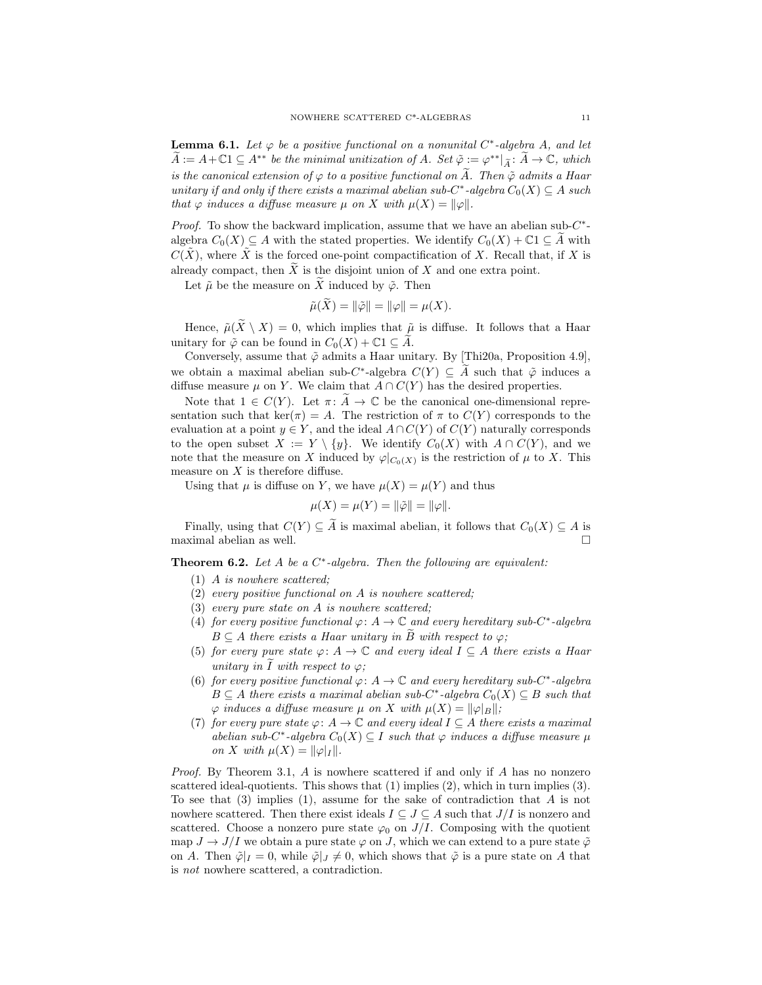**Lemma 6.1.** Let  $\varphi$  be a positive functional on a nonunital C<sup>\*</sup>-algebra A, and let  $A := A + \mathbb{C}1 \subseteq A^{**}$  be the minimal unitization of  $A$ . Set  $\tilde{\varphi} := \varphi^{**} |_{\tilde{A}} : A \to \mathbb{C}$ , which is the canonical extension of  $\varphi$  to a positive functional on  $\widetilde{A}$ . Then  $\tilde{\varphi}$  admits a Haar unitary if and only if there exists a maximal abelian sub- $C^*$ -algebra  $C_0(X) \subseteq A$  such that  $\varphi$  induces a diffuse measure  $\mu$  on X with  $\mu(X) = ||\varphi||$ .

*Proof.* To show the backward implication, assume that we have an abelian sub- $C^*$ algebra  $C_0(X) \subseteq A$  with the stated properties. We identify  $C_0(X) + \mathbb{C}1 \subseteq A$  with  $C(\tilde{X})$ , where  $\tilde{X}$  is the forced one-point compactification of X. Recall that, if X is already compact, then  $\widetilde{X}$  is the disjoint union of X and one extra point.

Let  $\tilde{\mu}$  be the measure on  $\tilde{X}$  induced by  $\tilde{\varphi}$ . Then

$$
\tilde{\mu}(\tilde{X}) = \|\tilde{\varphi}\| = \|\varphi\| = \mu(X).
$$

Hence,  $\tilde{\mu}(\tilde{X} \setminus X) = 0$ , which implies that  $\tilde{\mu}$  is diffuse. It follows that a Haar unitary for  $\tilde{\varphi}$  can be found in  $C_0(X) + \mathbb{C}1 \subseteq \tilde{A}$ .

Conversely, assume that  $\tilde{\varphi}$  admits a Haar unitary. By [Thi20a, Proposition 4.9], we obtain a maximal abelian sub-C<sup>\*</sup>-algebra  $C(Y) \subseteq A$  such that  $\tilde{\varphi}$  induces a diffuse measure  $\mu$  on Y. We claim that  $A \cap C(Y)$  has the desired properties.

Note that  $1 \in C(Y)$ . Let  $\pi: A \to \mathbb{C}$  be the canonical one-dimensional representation such that ker( $\pi$ ) = A. The restriction of  $\pi$  to  $C(Y)$  corresponds to the evaluation at a point  $y \in Y$ , and the ideal  $A \cap C(Y)$  of  $C(Y)$  naturally corresponds to the open subset  $X := Y \setminus \{y\}$ . We identify  $C_0(X)$  with  $A \cap C(Y)$ , and we note that the measure on X induced by  $\varphi|_{C_0(X)}$  is the restriction of  $\mu$  to X. This measure on  $X$  is therefore diffuse.

Using that  $\mu$  is diffuse on Y, we have  $\mu(X) = \mu(Y)$  and thus

$$
\mu(X) = \mu(Y) = ||\tilde{\varphi}|| = ||\varphi||.
$$

Finally, using that  $C(Y) \subseteq \widetilde{A}$  is maximal abelian, it follows that  $C_0(X) \subseteq A$  is maximal abelian as well.

**Theorem 6.2.** Let A be a  $C^*$ -algebra. Then the following are equivalent:

- (1) A is nowhere scattered;
- (2) every positive functional on A is nowhere scattered;
- (3) every pure state on A is nowhere scattered;
- (4) for every positive functional  $\varphi\colon A\to\mathbb{C}$  and every hereditary sub-C\*-algebra  $B \subseteq A$  there exists a Haar unitary in  $\overline{B}$  with respect to  $\varphi$ ;
- (5) for every pure state  $\varphi: A \to \mathbb{C}$  and every ideal  $I \subseteq A$  there exists a Haar unitary in I with respect to  $\varphi$ ;
- (6) for every positive functional  $\varphi: A \to \mathbb{C}$  and every hereditary sub-C<sup>\*</sup>-algebra  $B \subseteq A$  there exists a maximal abelian sub-C<sup>\*</sup>-algebra  $C_0(X) \subseteq B$  such that  $\varphi$  induces a diffuse measure  $\mu$  on X with  $\mu(X) = ||\varphi||_B$ ;
- (7) for every pure state  $\varphi: A \to \mathbb{C}$  and every ideal  $I \subseteq A$  there exists a maximal abelian sub-C<sup>\*</sup>-algebra  $C_0(X) \subseteq I$  such that  $\varphi$  induces a diffuse measure  $\mu$ on X with  $\mu(X) = ||\varphi|_I ||$ .

*Proof.* By Theorem 3.1,  $A$  is nowhere scattered if and only if  $A$  has no nonzero scattered ideal-quotients. This shows that (1) implies (2), which in turn implies (3). To see that  $(3)$  implies  $(1)$ , assume for the sake of contradiction that A is not nowhere scattered. Then there exist ideals  $I \subseteq J \subseteq A$  such that  $J/I$  is nonzero and scattered. Choose a nonzero pure state  $\varphi_0$  on  $J/I$ . Composing with the quotient map  $J \to J/I$  we obtain a pure state  $\varphi$  on J, which we can extend to a pure state  $\tilde{\varphi}$ on A. Then  $\tilde{\varphi}|_I = 0$ , while  $\tilde{\varphi}|_J \neq 0$ , which shows that  $\tilde{\varphi}$  is a pure state on A that is not nowhere scattered, a contradiction.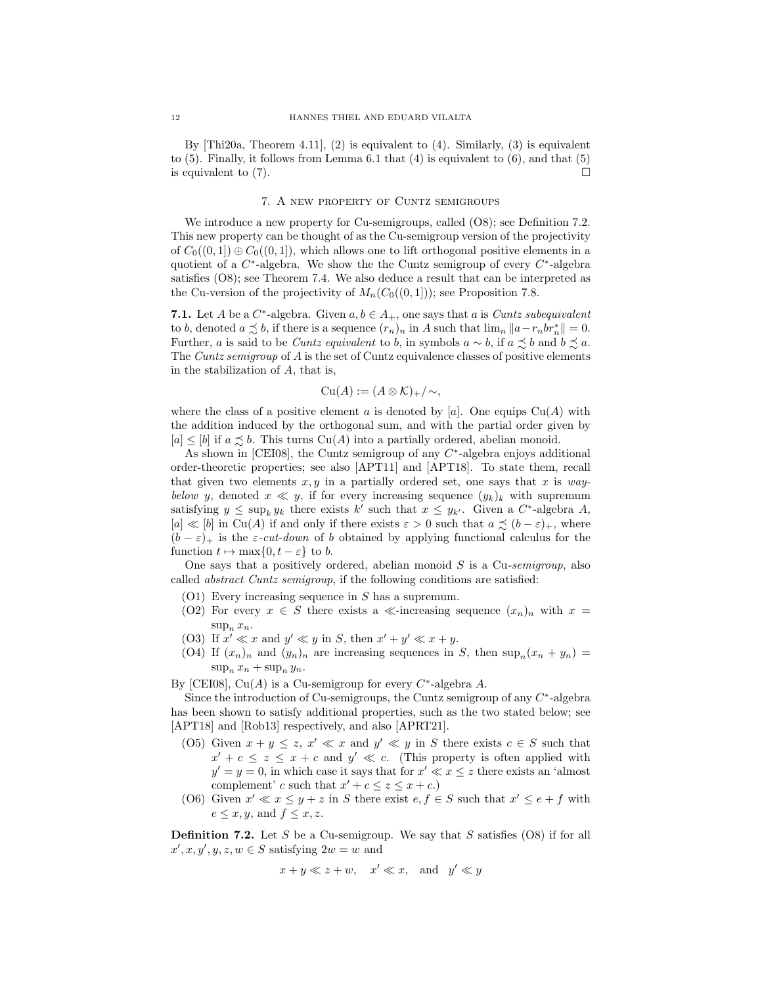By  $[Thi20a, Theorem 4.11], (2)$  is equivalent to  $(4)$ . Similarly,  $(3)$  is equivalent to  $(5)$ . Finally, it follows from Lemma 6.1 that  $(4)$  is equivalent to  $(6)$ , and that  $(5)$ is equivalent to  $(7)$ .

#### 7. A new property of Cuntz semigroups

We introduce a new property for Cu-semigroups, called  $(0.8)$ ; see Definition 7.2. This new property can be thought of as the Cu-semigroup version of the projectivity of  $C_0((0,1]) \oplus C_0((0,1])$ , which allows one to lift orthogonal positive elements in a quotient of a  $C^*$ -algebra. We show the the Cuntz semigroup of every  $C^*$ -algebra satisfies (O8); see Theorem 7.4. We also deduce a result that can be interpreted as the Cu-version of the projectivity of  $M_n(C_0((0, 1]))$ ; see Proposition 7.8.

**7.1.** Let A be a  $C^*$ -algebra. Given  $a, b \in A_+$ , one says that a is *Cuntz subequivalent* to b, denoted  $a \precsim b$ , if there is a sequence  $(r_n)_n$  in A such that  $\lim_n ||a-r_nbr_n^*|| = 0$ . Further, a is said to be *Cuntz equivalent* to b, in symbols  $a \sim b$ , if  $a \precsim b$  and  $b \precsim a$ . The Cuntz semigroup of A is the set of Cuntz equivalence classes of positive elements in the stabilization of  $A$ , that is,

$$
\mathrm{Cu}(A):=(A\otimes\mathcal{K})_+/\sim,
$$

where the class of a positive element a is denoted by [a]. One equips  $Cu(A)$  with the addition induced by the orthogonal sum, and with the partial order given by  $[a] \leq [b]$  if  $a \preceq b$ . This turns  $Cu(A)$  into a partially ordered, abelian monoid.

As shown in [CEI08], the Cuntz semigroup of any  $C^*$ -algebra enjoys additional order-theoretic properties; see also [APT11] and [APT18]. To state them, recall that given two elements  $x, y$  in a partially ordered set, one says that x is waybelow y, denoted  $x \ll y$ , if for every increasing sequence  $(y_k)_k$  with supremum satisfying  $y \le \sup_k y_k$  there exists  $k'$  such that  $x \le y_{k'}$ . Given a  $C^*$ -algebra A,  $[a] \ll [b]$  in Cu(A) if and only if there exists  $\varepsilon > 0$  such that  $a \precsim (b - \varepsilon)_+$ , where  $(b - \varepsilon)_+$  is the  $\varepsilon$ -cut-down of b obtained by applying functional calculus for the function  $t \mapsto \max\{0, t - \varepsilon\}$  to b.

One says that a positively ordered, abelian monoid  $S$  is a Cu-semigroup, also called abstract Cuntz semigroup, if the following conditions are satisfied:

- $(01)$  Every increasing sequence in S has a supremum.
- (O2) For every  $x \in S$  there exists a  $\ll$ -increasing sequence  $(x_n)_n$  with  $x =$  $\sup_n x_n$ .
- (O3) If  $x' \ll x$  and  $y' \ll y$  in S, then  $x' + y' \ll x + y$ .
- (O4) If  $(x_n)_n$  and  $(y_n)_n$  are increasing sequences in S, then  $\sup_n(x_n+y_n)$  =  $\sup_n x_n + \sup_n y_n$ .

By [CEI08], Cu(A) is a Cu-semigroup for every  $C^*$ -algebra A.

Since the introduction of Cu-semigroups, the Cuntz semigroup of any  $C^*$ -algebra has been shown to satisfy additional properties, such as the two stated below; see [APT18] and [Rob13] respectively, and also [APRT21].

- (O5) Given  $x + y \le z$ ,  $x' \ll x$  and  $y' \ll y$  in S there exists  $c \in S$  such that  $x' + c \leq z \leq x + c$  and  $y' \ll c$ . (This property is often applied with  $y' = y = 0$ , in which case it says that for  $x' \ll x \leq z$  there exists an 'almost complement' c such that  $x' + c \leq z \leq x + c$ .
- (O6) Given  $x' \ll x \leq y + z$  in S there exist  $e, f \in S$  such that  $x' \leq e + f$  with  $e \leq x, y$ , and  $f \leq x, z$ .

**Definition 7.2.** Let S be a Cu-semigroup. We say that S satisfies  $(08)$  if for all  $x', x, y', y, z, w \in S$  satisfying  $2w = w$  and

$$
x + y \ll z + w, \quad x' \ll x, \quad \text{and} \quad y' \ll y
$$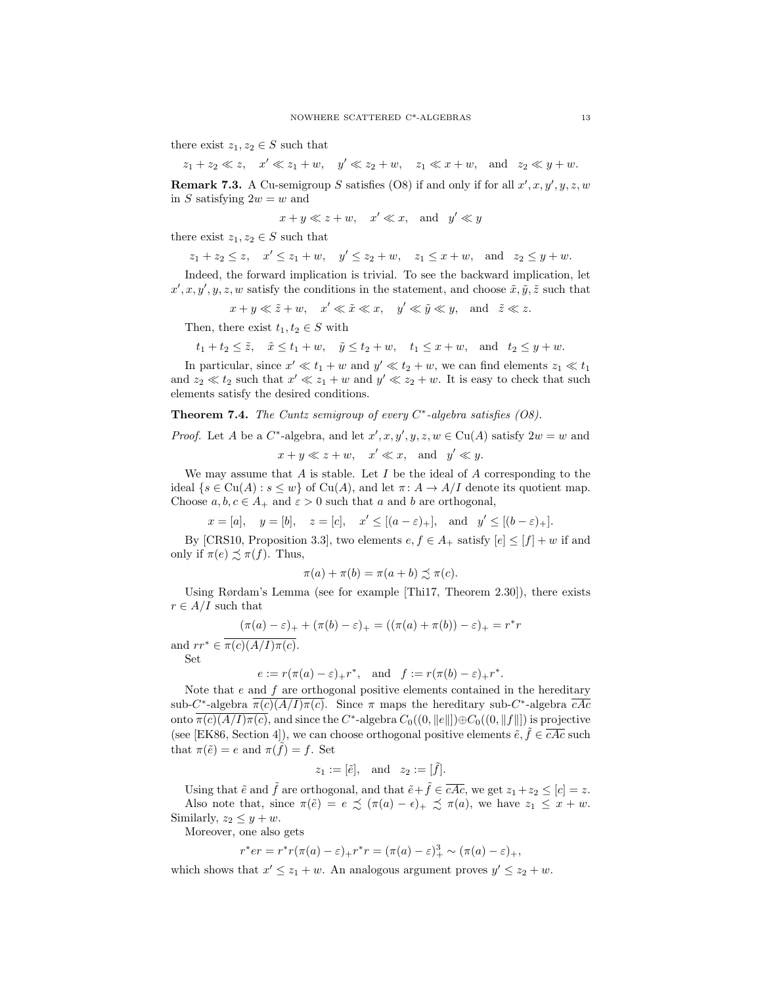there exist  $z_1, z_2 \in S$  such that

 $z_1 + z_2 \ll z$ ,  $x' \ll z_1 + w$ ,  $y' \ll z_2 + w$ ,  $z_1 \ll x + w$ , and  $z_2 \ll y + w$ .

**Remark 7.3.** A Cu-semigroup S satisfies (O8) if and only if for all  $x', x, y', y, z, w$ in S satisfying  $2w = w$  and

$$
x + y \ll z + w, \quad x' \ll x, \quad \text{and} \quad y' \ll y
$$

there exist  $z_1, z_2 \in S$  such that

$$
z_1 + z_2 \le z
$$
,  $x' \le z_1 + w$ ,  $y' \le z_2 + w$ ,  $z_1 \le x + w$ , and  $z_2 \le y + w$ .

Indeed, the forward implication is trivial. To see the backward implication, let  $x', x, y', y, z, w$  satisfy the conditions in the statement, and choose  $\tilde{x}, \tilde{y}, \tilde{z}$  such that

 $x + y \ll \tilde{z} + w$ ,  $x' \ll \tilde{x} \ll x$ ,  $y' \ll \tilde{y} \ll y$ , and  $\tilde{z} \ll z$ .

Then, there exist  $t_1, t_2 \in S$  with

$$
t_1 + t_2 \leq \tilde{z}, \quad \tilde{x} \leq t_1 + w, \quad \tilde{y} \leq t_2 + w, \quad t_1 \leq x + w, \quad \text{and} \quad t_2 \leq y + w.
$$

In particular, since  $x' \ll t_1 + w$  and  $y' \ll t_2 + w$ , we can find elements  $z_1 \ll t_1$ and  $z_2 \ll t_2$  such that  $x' \ll z_1 + w$  and  $y' \ll z_2 + w$ . It is easy to check that such elements satisfy the desired conditions.

### **Theorem 7.4.** The Cuntz semigroup of every  $C^*$ -algebra satisfies (O8).

*Proof.* Let A be a  $C^*$ -algebra, and let  $x', x, y', y, z, w \in Cu(A)$  satisfy  $2w = w$  and  $x + y \ll z + w$ ,  $x' \ll x$ , and  $y' \ll y$ .

We may assume that A is stable. Let I be the ideal of A corresponding to the ideal  $\{s \in Cu(A) : s \leq w\}$  of  $Cu(A)$ , and let  $\pi: A \to A/I$  denote its quotient map. Choose  $a, b, c \in A_+$  and  $\varepsilon > 0$  such that a and b are orthogonal,

 $x = [a], \quad y = [b], \quad z = [c], \quad x' \leq [(a - \varepsilon)_+], \quad \text{and} \quad y' \leq [(b - \varepsilon)_+]$ .

By [CRS10, Proposition 3.3], two elements  $e, f \in A_+$  satisfy  $|e| \leq |f| + w$  if and only if  $\pi(e) \precsim \pi(f)$ . Thus,

$$
\pi(a) + \pi(b) = \pi(a+b) \precsim \pi(c).
$$

Using Rørdam's Lemma (see for example [Thi17, Theorem 2.30]), there exists  $r \in A/I$  such that

$$
(\pi(a) - \varepsilon)_{+} + (\pi(b) - \varepsilon)_{+} = ((\pi(a) + \pi(b)) - \varepsilon)_{+} = r^*r
$$

and  $rr^* \in \overline{\pi(c)(A/I)\pi(c)}$ . Set

$$
e := r(\pi(a) - \varepsilon)_+ r^*,
$$
 and  $f := r(\pi(b) - \varepsilon)_+ r^*.$ 

Note that  $e$  and  $f$  are orthogonal positive elements contained in the hereditary sub-C<sup>\*</sup>-algebra  $\pi(c)(A/I)\pi(c)$ . Since  $\pi$  maps the hereditary sub-C<sup>\*</sup>-algebra cAc onto  $\pi(c)(A/I)\pi(c)$ , and since the  $C^*$ -algebra  $C_0((0, \|e\|])\oplus C_0((0, \|f\|])$  is projective (see [EK86, Section 4]), we can choose orthogonal positive elements  $\tilde{e}, \tilde{f} \in \overline{cAc}$  such that  $\pi(\tilde{e}) = e$  and  $\pi(\tilde{f}) = f$ . Set

$$
z_1 := [\tilde{e}], \text{ and } z_2 := [\tilde{f}].
$$

Using that  $\tilde{e}$  and  $\tilde{f}$  are orthogonal, and that  $\tilde{e} + \tilde{f} \in \overline{cAc}$ , we get  $z_1 + z_2 \leq [c] = z$ . Also note that, since  $\pi(\tilde{e}) = e \precsim (\pi(a) - \epsilon)_+ \precsim \pi(a)$ , we have  $z_1 \leq x + w$ .

Similarly,  $z_2 \leq y + w$ .

Moreover, one also gets

$$
r^*er = r^*r(\pi(a) - \varepsilon)_+r^*r = (\pi(a) - \varepsilon)_+^3 \sim (\pi(a) - \varepsilon)_+,
$$

which shows that  $x' \leq z_1 + w$ . An analogous argument proves  $y' \leq z_2 + w$ .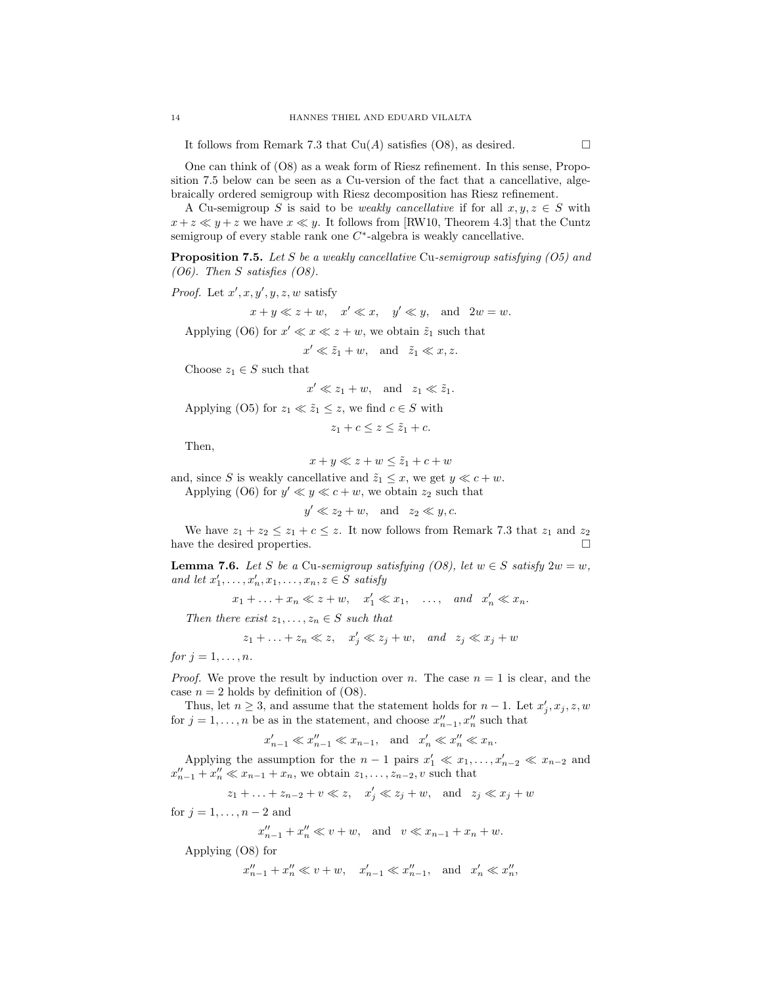It follows from Remark 7.3 that  $Cu(A)$  satisfies (O8), as desired.  $\square$ 

One can think of (O8) as a weak form of Riesz refinement. In this sense, Proposition 7.5 below can be seen as a Cu-version of the fact that a cancellative, algebraically ordered semigroup with Riesz decomposition has Riesz refinement.

A Cu-semigroup S is said to be *weakly cancellative* if for all  $x, y, z \in S$  with  $x + z \ll y + z$  we have  $x \ll y$ . It follows from [RW10, Theorem 4.3] that the Cuntz semigroup of every stable rank one  $C^*$ -algebra is weakly cancellative.

**Proposition 7.5.** Let S be a weakly cancellative Cu-semigroup satisfying  $(05)$  and (O6). Then S satisfies (O8).

*Proof.* Let  $x', x, y', y, z, w$  satisfy

 $x + y \ll z + w$ ,  $x' \ll x$ ,  $y' \ll y$ , and  $2w = w$ .

Applying (O6) for  $x' \ll x \ll z + w$ , we obtain  $\tilde{z}_1$  such that

 $x' \ll \tilde{z}_1 + w$ , and  $\tilde{z}_1 \ll x, z$ .

Choose  $z_1 \in S$  such that

 $x' \ll z_1 + w$ , and  $z_1 \ll \tilde{z}_1$ .

Applying (O5) for  $z_1 \ll \tilde{z}_1 \leq z$ , we find  $c \in S$  with

 $z_1 + c \leq z \leq \tilde{z}_1 + c$ .

Then,

 $x + y \ll z + w \leq \tilde{z}_1 + c + w$ 

and, since S is weakly cancellative and  $\tilde{z}_1 \leq x$ , we get  $y \ll c + w$ . Applying (O6) for  $y' \ll y \ll c + w$ , we obtain  $z_2$  such that

 $y' \ll z_2 + w$ , and  $z_2 \ll y, c$ .

We have  $z_1 + z_2 \leq z_1 + c \leq z$ . It now follows from Remark 7.3 that  $z_1$  and  $z_2$ <br>we the desired properties have the desired properties.

**Lemma 7.6.** Let S be a Cu-semigroup satisfying (O8), let  $w \in S$  satisfy  $2w = w$ , and let  $x'_1, \ldots, x'_n, x_1, \ldots, x_n, z \in S$  satisfy

 $x_1 + \ldots + x_n \ll z + w, \quad x'_1 \ll x_1, \quad \ldots, \quad and \quad x'_n \ll x_n.$ 

Then there exist  $z_1, \ldots, z_n \in S$  such that

$$
z_1 + \ldots + z_n \ll z
$$
,  $x'_j \ll z_j + w$ , and  $z_j \ll x_j + w$ 

for  $j = 1, \ldots, n$ .

*Proof.* We prove the result by induction over n. The case  $n = 1$  is clear, and the case  $n = 2$  holds by definition of  $(08)$ .

Thus, let  $n \geq 3$ , and assume that the statement holds for  $n-1$ . Let  $x'_j, x_j, z, w$ for  $j = 1, \ldots, n$  be as in the statement, and choose  $x''_{n-1}, x''_n$  such that

$$
x'_{n-1} \ll x''_{n-1} \ll x_{n-1}, \quad \text{and} \quad x'_n \ll x''_n \ll x_n.
$$

Applying the assumption for the  $n-1$  pairs  $x'_1 \ll x_1, \ldots, x'_{n-2} \ll x_{n-2}$  and  $x''_{n-1} + x''_n \ll x_{n-1} + x_n$ , we obtain  $z_1, \ldots, z_{n-2}, v$  such that

$$
z_1 + \ldots + z_{n-2} + v \ll z, \quad x'_j \ll z_j + w, \quad \text{and} \quad z_j \ll x_j + w
$$

for  $j = 1, \ldots, n-2$  and

$$
x''_{n-1} + x''_n \ll v + w
$$
, and  $v \ll x_{n-1} + x_n + w$ .

Applying (O8) for

$$
x''_{n-1} + x''_n \ll v + w
$$
,  $x'_{n-1} \ll x''_{n-1}$ , and  $x'_n \ll x''_n$ ,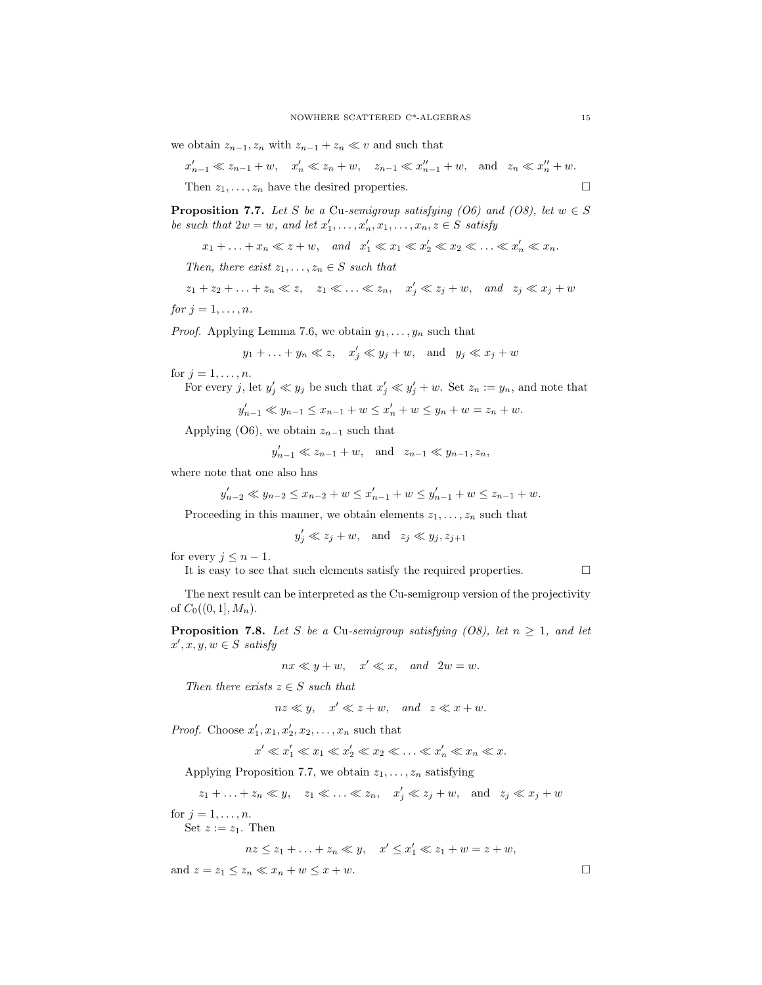$$
x'_{n-1} \ll z_{n-1} + w, \quad x'_{n} \ll z_{n} + w, \quad z_{n-1} \ll x''_{n-1} + w, \quad \text{and} \quad z_{n} \ll x''_{n} + w.
$$
  
Then  $z_1, \ldots, z_n$  have the desired properties.

**Proposition 7.7.** Let S be a Cu-semigroup satisfying (O6) and (O8), let  $w \in S$ be such that  $2w = w$ , and let  $x'_1, \ldots, x'_n, x_1, \ldots, x_n, z \in S$  satisfy

 $x_1 + \ldots + x_n \ll z + w$ , and  $x'_1 \ll x_1 \ll x'_2 \ll x_2 \ll \ldots \ll x'_n \ll x_n$ .

Then, there exist  $z_1, \ldots, z_n \in S$  such that

$$
z_1 + z_2 + \ldots + z_n \ll z, \quad z_1 \ll \ldots \ll z_n, \quad x'_j \ll z_j + w, \quad \text{and} \quad z_j \ll x_j + w
$$

for  $j = 1, \ldots, n$ .

*Proof.* Applying Lemma 7.6, we obtain  $y_1, \ldots, y_n$  such that

$$
y_1 + \ldots + y_n \ll z
$$
,  $x'_j \ll y_j + w$ , and  $y_j \ll x_j + w$ 

for  $j = 1, \ldots, n$ .

For every 
$$
j
$$
, let  $y'_j \ll y_j$  be such that  $x'_j \ll y'_j + w$ . Set  $z_n := y_n$ , and note that

$$
y'_{n-1} \ll y_{n-1} \le x_{n-1} + w \le x'_{n} + w \le y_{n} + w = z_{n} + w.
$$

Applying (O6), we obtain  $z_{n-1}$  such that

$$
y'_{n-1} \ll z_{n-1} + w
$$
, and  $z_{n-1} \ll y_{n-1}, z_n$ ,

where note that one also has

$$
y'_{n-2} \ll y_{n-2} \le x_{n-2} + w \le x'_{n-1} + w \le y'_{n-1} + w \le z_{n-1} + w.
$$

Proceeding in this manner, we obtain elements  $z_1, \ldots, z_n$  such that

$$
y'_j \ll z_j + w
$$
, and  $z_j \ll y_j, z_{j+1}$ 

for every  $j \leq n-1$ .

It is easy to see that such elements satisfy the required properties.  $\Box$ 

The next result can be interpreted as the Cu-semigroup version of the projectivity of  $C_0((0,1], M_n)$ .

**Proposition 7.8.** Let S be a Cu-semigroup satisfying (O8), let  $n \geq 1$ , and let  $x', x, y, w \in S$  satisfy

$$
nx \ll y + w, \quad x' \ll x, \quad and \quad 2w = w.
$$

Then there exists  $z \in S$  such that

$$
nz \ll y, \quad x' \ll z+w, \quad and \quad z \ll x+w.
$$

*Proof.* Choose  $x'_1, x_1, x'_2, x_2, \ldots, x_n$  such that

$$
x' \ll x_1' \ll x_1 \ll x_2' \ll x_2 \ll \ldots \ll x_n' \ll x_n \ll x.
$$

Applying Proposition 7.7, we obtain  $z_1, \ldots, z_n$  satisfying

$$
z_1 + \ldots + z_n \ll y, \quad z_1 \ll \ldots \ll z_n, \quad x'_j \ll z_j + w, \quad \text{and} \quad z_j \ll x_j + w
$$

for  $j = 1, \ldots, n$ .

Set  $z := z_1$ . Then

$$
nz \le z_1 + \ldots + z_n \ll y, \quad x' \le x'_1 \ll z_1 + w = z + w,
$$

and  $z = z_1 \leq z_n \ll x_n + w \leq x + w$ .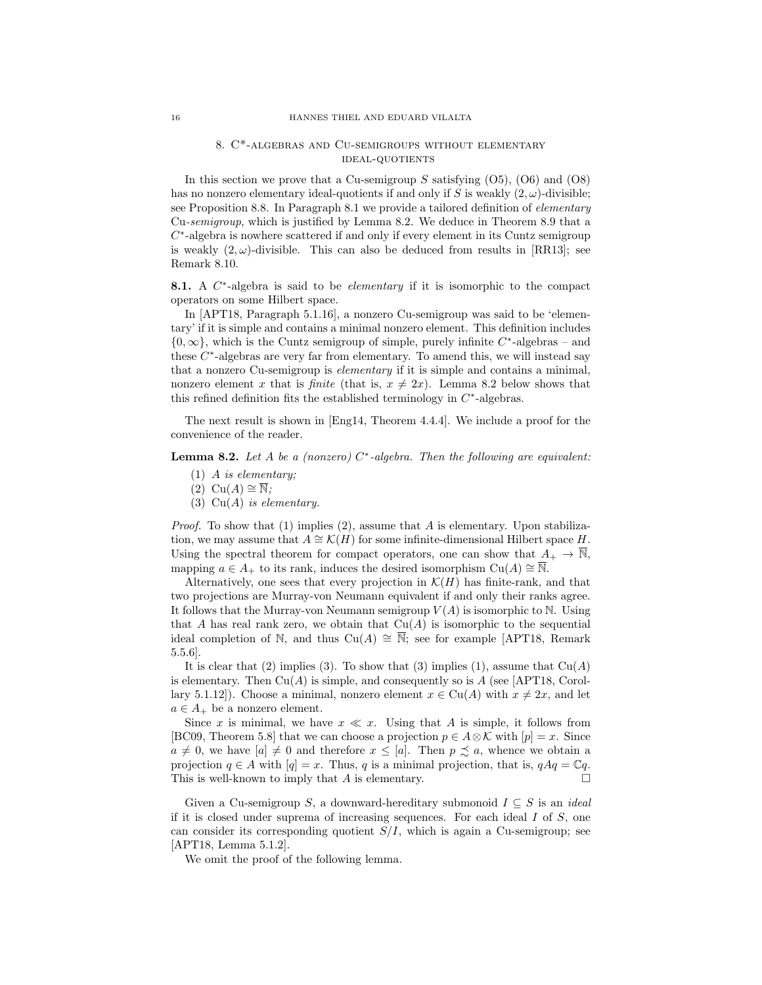# 8. C\*-algebras and Cu-semigroups without elementary ideal-quotients

In this section we prove that a Cu-semigroup S satisfying  $(05)$ ,  $(06)$  and  $(08)$ has no nonzero elementary ideal-quotients if and only if S is weakly  $(2, \omega)$ -divisible; see Proposition 8.8. In Paragraph 8.1 we provide a tailored definition of elementary Cu-semigroup, which is justified by Lemma 8.2. We deduce in Theorem 8.9 that a  $C^*$ -algebra is nowhere scattered if and only if every element in its Cuntz semigroup is weakly  $(2, \omega)$ -divisible. This can also be deduced from results in [RR13]; see Remark 8.10.

8.1. A C<sup>\*</sup>-algebra is said to be *elementary* if it is isomorphic to the compact operators on some Hilbert space.

In [APT18, Paragraph 5.1.16], a nonzero Cu-semigroup was said to be 'elementary' if it is simple and contains a minimal nonzero element. This definition includes  ${0, \infty}$ , which is the Cuntz semigroup of simple, purely infinite  $C^*$ -algebras – and these  $C^*$ -algebras are very far from elementary. To amend this, we will instead say that a nonzero Cu-semigroup is elementary if it is simple and contains a minimal, nonzero element x that is *finite* (that is,  $x \neq 2x$ ). Lemma 8.2 below shows that this refined definition fits the established terminology in  $C^*$ -algebras.

The next result is shown in [Eng14, Theorem 4.4.4]. We include a proof for the convenience of the reader.

**Lemma 8.2.** Let A be a (nonzero)  $C^*$ -algebra. Then the following are equivalent:

- (1) A is elementary;
- $(2)$  Cu(A)  $\cong \overline{\mathbb{N}}$ ;
- (3)  $Cu(A)$  is elementary.

*Proof.* To show that  $(1)$  implies  $(2)$ , assume that A is elementary. Upon stabilization, we may assume that  $A \cong \mathcal{K}(H)$  for some infinite-dimensional Hilbert space H. Using the spectral theorem for compact operators, one can show that  $A_+ \to \overline{\mathbb{N}},$ mapping  $a \in A_+$  to its rank, induces the desired isomorphism  $Cu(A) \cong \overline{\mathbb{N}}$ .

Alternatively, one sees that every projection in  $\mathcal{K}(H)$  has finite-rank, and that two projections are Murray-von Neumann equivalent if and only their ranks agree. It follows that the Murray-von Neumann semigroup  $V(A)$  is isomorphic to N. Using that A has real rank zero, we obtain that  $Cu(A)$  is isomorphic to the sequential ideal completion of N, and thus  $Cu(A) \cong \overline{N}$ ; see for example [APT18, Remark] 5.5.6].

It is clear that (2) implies (3). To show that (3) implies (1), assume that  $Cu(A)$ is elementary. Then  $Cu(A)$  is simple, and consequently so is A (see [APT18, Corollary 5.1.12]). Choose a minimal, nonzero element  $x \in Cu(A)$  with  $x \neq 2x$ , and let  $a \in A_+$  be a nonzero element.

Since x is minimal, we have  $x \ll x$ . Using that A is simple, it follows from [BC09, Theorem 5.8] that we can choose a projection  $p \in A \otimes \mathcal{K}$  with  $[p] = x$ . Since  $a \neq 0$ , we have  $[a] \neq 0$  and therefore  $x \leq [a]$ . Then  $p \precsim a$ , whence we obtain a projection  $q \in A$  with  $[q] = x$ . Thus, q is a minimal projection, that is,  $qAq = \mathbb{C}q$ . This is well-known to imply that A is elementary.

Given a Cu-semigroup S, a downward-hereditary submonoid  $I \subseteq S$  is an *ideal* if it is closed under suprema of increasing sequences. For each ideal  $I$  of  $S$ , one can consider its corresponding quotient  $S/I$ , which is again a Cu-semigroup; see [APT18, Lemma 5.1.2].

We omit the proof of the following lemma.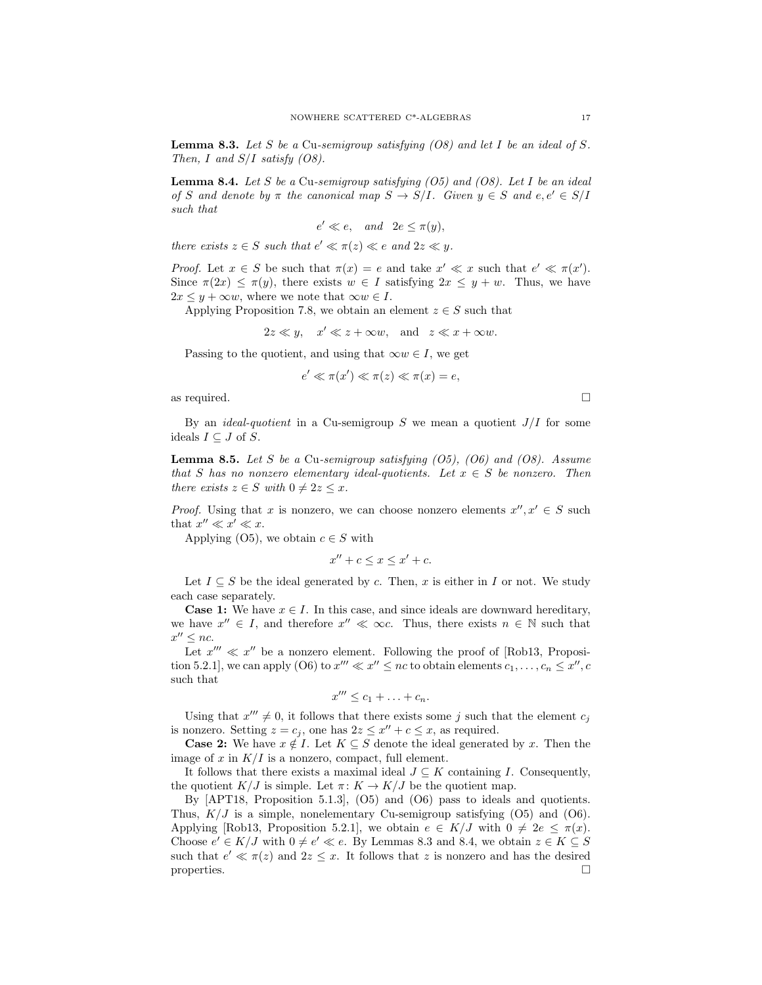**Lemma 8.3.** Let S be a Cu-semigroup satisfying  $(0.8)$  and let I be an ideal of S. Then, I and  $S/I$  satisfy  $(0.8)$ .

**Lemma 8.4.** Let S be a Cu-semigroup satisfying  $(05)$  and  $(08)$ . Let I be an ideal of S and denote by  $\pi$  the canonical map  $S \to S/I$ . Given  $y \in S$  and  $e, e' \in S/I$ such that

$$
e' \ll e, \quad and \quad 2e \le \pi(y),
$$

there exists  $z \in S$  such that  $e' \ll \pi(z) \ll e$  and  $2z \ll y$ .

*Proof.* Let  $x \in S$  be such that  $\pi(x) = e$  and take  $x' \ll x$  such that  $e' \ll \pi(x')$ . Since  $\pi(2x) \leq \pi(y)$ , there exists  $w \in I$  satisfying  $2x \leq y + w$ . Thus, we have  $2x \leq y + \infty w$ , where we note that  $\infty w \in I$ .

Applying Proposition 7.8, we obtain an element  $z \in S$  such that

 $2z \ll y$ ,  $x' \ll z + \infty w$ , and  $z \ll x + \infty w$ .

Passing to the quotient, and using that  $\infty w \in I$ , we get

$$
e' \ll \pi(x') \ll \pi(z) \ll \pi(x) = e
$$

as required.  $\Box$ 

By an *ideal-quotient* in a Cu-semigroup S we mean a quotient  $J/I$  for some ideals  $I \subseteq J$  of S.

**Lemma 8.5.** Let S be a Cu-semigroup satisfying  $(05)$ ,  $(06)$  and  $(08)$ . Assume that S has no nonzero elementary ideal-quotients. Let  $x \in S$  be nonzero. Then there exists  $z \in S$  with  $0 \neq 2z \leq x$ .

*Proof.* Using that x is nonzero, we can choose nonzero elements  $x'', x' \in S$  such that  $x'' \ll x' \ll x$ .

Applying (O5), we obtain  $c \in S$  with

$$
x'' + c \le x \le x' + c.
$$

Let  $I \subseteq S$  be the ideal generated by c. Then, x is either in I or not. We study each case separately.

**Case 1:** We have  $x \in I$ . In this case, and since ideals are downward hereditary, we have  $x'' \in I$ , and therefore  $x'' \ll \infty$ . Thus, there exists  $n \in \mathbb{N}$  such that  $x'' \leq nc$ .

Let  $x''' \ll x''$  be a nonzero element. Following the proof of [Rob13, Proposition 5.2.1], we can apply (O6) to  $x''' \ll x'' \leq nc$  to obtain elements  $c_1, \ldots, c_n \leq x'', c$ such that

$$
x^{\prime\prime\prime}\leq c_1+\ldots+c_n.
$$

Using that  $x''' \neq 0$ , it follows that there exists some j such that the element  $c_j$ is nonzero. Setting  $z = c_j$ , one has  $2z \leq x'' + c \leq x$ , as required.

**Case 2:** We have  $x \notin I$ . Let  $K \subseteq S$  denote the ideal generated by x. Then the image of x in  $K/I$  is a nonzero, compact, full element.

It follows that there exists a maximal ideal  $J \subseteq K$  containing I. Consequently, the quotient  $K/J$  is simple. Let  $\pi: K \to K/J$  be the quotient map.

By [APT18, Proposition 5.1.3], (O5) and (O6) pass to ideals and quotients. Thus,  $K/J$  is a simple, nonelementary Cu-semigroup satisfying (O5) and (O6). Applying [Rob13, Proposition 5.2.1], we obtain  $e \in K/J$  with  $0 \neq 2e \leq \pi(x)$ . Choose  $e' \in K/J$  with  $0 \neq e' \ll e$ . By Lemmas 8.3 and 8.4, we obtain  $z \in K \subseteq S$ such that  $e' \ll \pi(z)$  and  $2z \leq x$ . It follows that z is nonzero and has the desired properties.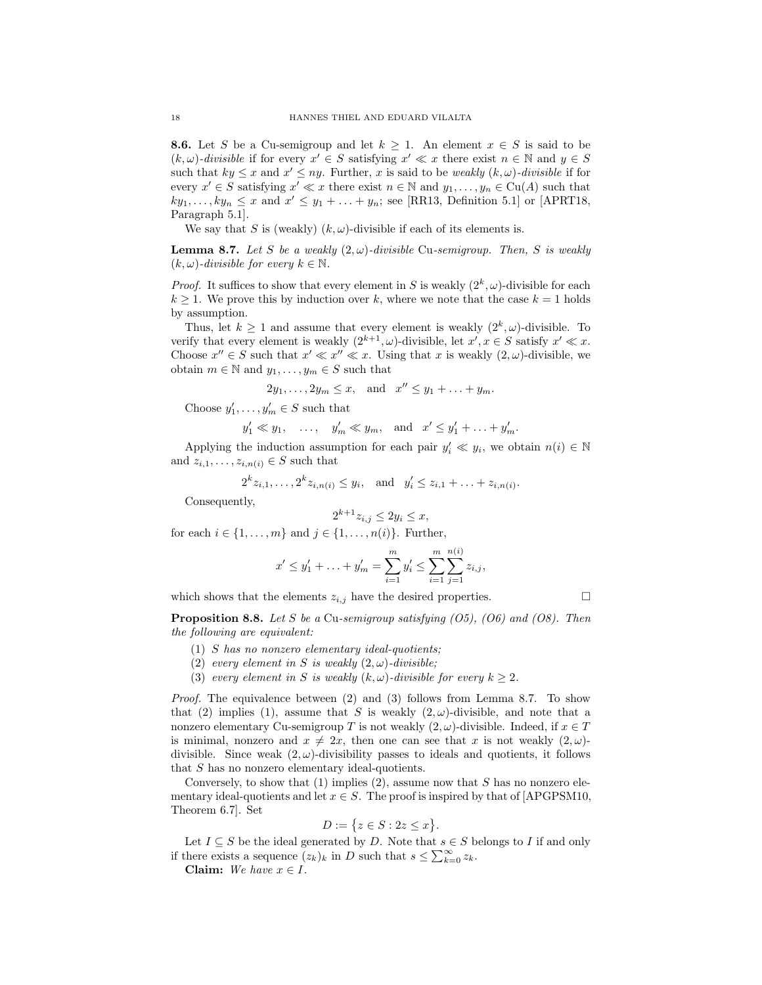**8.6.** Let S be a Cu-semigroup and let  $k \geq 1$ . An element  $x \in S$  is said to be  $(k, \omega)$ -divisible if for every  $x' \in S$  satisfying  $x' \ll x$  there exist  $n \in \mathbb{N}$  and  $y \in S$ such that  $ky \leq x$  and  $x' \leq ny$ . Further, x is said to be *weakly*  $(k, \omega)$ -divisible if for every  $x' \in S$  satisfying  $x' \ll x$  there exist  $n \in \mathbb{N}$  and  $y_1, \ldots, y_n \in \mathrm{Cu}(A)$  such that  $ky_1, \ldots, ky_n \leq x$  and  $x' \leq y_1 + \ldots + y_n$ ; see [RR13, Definition 5.1] or [APRT18, Paragraph 5.1].

We say that S is (weakly)  $(k, \omega)$ -divisible if each of its elements is.

**Lemma 8.7.** Let S be a weakly  $(2, \omega)$ -divisible Cu-semigroup. Then, S is weakly  $(k, \omega)$ -divisible for every  $k \in \mathbb{N}$ .

*Proof.* It suffices to show that every element in S is weakly  $(2^k, \omega)$ -divisible for each  $k \geq 1$ . We prove this by induction over k, where we note that the case  $k = 1$  holds by assumption.

Thus, let  $k \geq 1$  and assume that every element is weakly  $(2^k, \omega)$ -divisible. To verify that every element is weakly  $(2^{k+1}, \omega)$ -divisible, let  $x', x \in S$  satisfy  $x' \ll x$ . Choose  $x'' \in S$  such that  $x' \ll x'' \ll x$ . Using that x is weakly  $(2, \omega)$ -divisible, we obtain  $m \in \mathbb{N}$  and  $y_1, \ldots, y_m \in S$  such that

$$
2y_1, \ldots, 2y_m \le x, \quad \text{and} \quad x'' \le y_1 + \ldots + y_m.
$$

Choose  $y'_1, \ldots, y'_m \in S$  such that

$$
y'_1 \ll y_1
$$
, ...,  $y'_m \ll y_m$ , and  $x' \le y'_1 + \ldots + y'_m$ .

Applying the induction assumption for each pair  $y'_i \ll y_i$ , we obtain  $n(i) \in \mathbb{N}$ and  $z_{i,1}, \ldots, z_{i,n(i)} \in S$  such that

$$
2^k z_{i,1}, \ldots, 2^k z_{i,n(i)} \leq y_i
$$
, and  $y'_i \leq z_{i,1} + \ldots + z_{i,n(i)}$ .

Consequently,

$$
2^{k+1}z_{i,j} \le 2y_i \le x,
$$

for each  $i \in \{1, \ldots, m\}$  and  $j \in \{1, \ldots, n(i)\}$ . Further,

$$
x' \le y'_1 + \ldots + y'_m = \sum_{i=1}^m y'_i \le \sum_{i=1}^m \sum_{j=1}^{n(i)} z_{i,j},
$$

which shows that the elements  $z_{i,j}$  have the desired properties.

**Proposition 8.8.** Let S be a Cu-semigroup satisfying  $(05)$ ,  $(06)$  and  $(08)$ . Then the following are equivalent:

- $(1)$  S has no nonzero elementary ideal-quotients;
- (2) every element in S is weakly  $(2, \omega)$ -divisible;
- (3) every element in S is weakly  $(k, \omega)$ -divisible for every  $k \geq 2$ .

Proof. The equivalence between (2) and (3) follows from Lemma 8.7. To show that (2) implies (1), assume that S is weakly  $(2,\omega)$ -divisible, and note that a nonzero elementary Cu-semigroup T is not weakly  $(2, \omega)$ -divisible. Indeed, if  $x \in T$ is minimal, nonzero and  $x \neq 2x$ , then one can see that x is not weakly  $(2, \omega)$ divisible. Since weak  $(2, \omega)$ -divisibility passes to ideals and quotients, it follows that S has no nonzero elementary ideal-quotients.

Conversely, to show that  $(1)$  implies  $(2)$ , assume now that S has no nonzero elementary ideal-quotients and let  $x \in S$ . The proof is inspired by that of [APGPSM10, Theorem 6.7]. Set

$$
D:=\big\{z\in S:2z\leq x\big\}.
$$

Let  $I\subseteq S$  be the ideal generated by  $D.$  Note that  $s\in S$  belongs to  $I$  if and only if there exists a sequence  $(z_k)_k$  in D such that  $s \leq \sum_{k=0}^{\infty} z_k$ .

Claim: We have  $x \in I$ .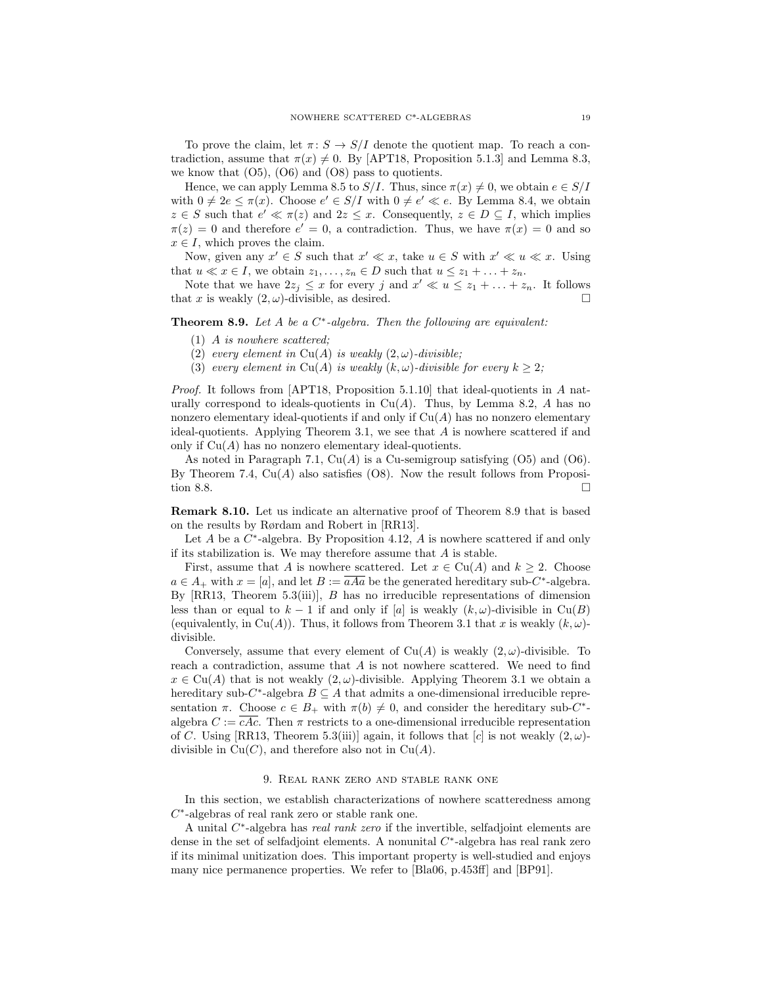To prove the claim, let  $\pi: S \to S/I$  denote the quotient map. To reach a contradiction, assume that  $\pi(x) \neq 0$ . By [APT18, Proposition 5.1.3] and Lemma 8.3, we know that  $(05)$ ,  $(06)$  and  $(08)$  pass to quotients.

Hence, we can apply Lemma 8.5 to  $S/I$ . Thus, since  $\pi(x) \neq 0$ , we obtain  $e \in S/I$ with  $0 \neq 2e \leq \pi(x)$ . Choose  $e' \in S/I$  with  $0 \neq e' \ll e$ . By Lemma 8.4, we obtain  $z \in S$  such that  $e' \ll \pi(z)$  and  $2z \leq x$ . Consequently,  $z \in D \subseteq I$ , which implies  $\pi(z) = 0$  and therefore  $e' = 0$ , a contradiction. Thus, we have  $\pi(x) = 0$  and so  $x \in I$ , which proves the claim.

Now, given any  $x' \in S$  such that  $x' \ll x$ , take  $u \in S$  with  $x' \ll u \ll x$ . Using that  $u \ll x \in I$ , we obtain  $z_1, \ldots, z_n \in D$  such that  $u \leq z_1 + \ldots + z_n$ .

Note that we have  $2z_j \le x$  for every j and  $x' \ll u \le z_1 + \ldots + z_n$ . It follows that x is weakly  $(2, \omega)$ -divisible, as desired.

**Theorem 8.9.** Let A be a  $C^*$ -algebra. Then the following are equivalent:

- (1) A is nowhere scattered;
- (2) every element in Cu(A) is weakly  $(2, \omega)$ -divisible;
- (3) every element in Cu(A) is weakly  $(k, \omega)$ -divisible for every  $k \geq 2$ ;

Proof. It follows from [APT18, Proposition 5.1.10] that ideal-quotients in A naturally correspond to ideals-quotients in  $Cu(A)$ . Thus, by Lemma 8.2, A has no nonzero elementary ideal-quotients if and only if  $Cu(A)$  has no nonzero elementary ideal-quotients. Applying Theorem 3.1, we see that A is nowhere scattered if and only if  $Cu(A)$  has no nonzero elementary ideal-quotients.

As noted in Paragraph 7.1,  $Cu(A)$  is a Cu-semigroup satisfying (O5) and (O6). By Theorem 7.4,  $Cu(A)$  also satisfies (O8). Now the result follows from Proposition 8.8.

Remark 8.10. Let us indicate an alternative proof of Theorem 8.9 that is based on the results by Rørdam and Robert in [RR13].

Let A be a  $C^*$ -algebra. By Proposition 4.12, A is nowhere scattered if and only if its stabilization is. We may therefore assume that  $A$  is stable.

First, assume that A is nowhere scattered. Let  $x \in Cu(A)$  and  $k \geq 2$ . Choose  $a \in A_+$  with  $x = [a]$ , and let  $B := aAa$  be the generated hereditary sub-C<sup>\*</sup>-algebra. By  $[RR13, Theorem 5.3(iii)], B has no irreducible representations of dimension$ less than or equal to  $k-1$  if and only if [a] is weakly  $(k, \omega)$ -divisible in Cu(B) (equivalently, in Cu(A)). Thus, it follows from Theorem 3.1 that x is weakly  $(k, \omega)$ divisible.

Conversely, assume that every element of  $Cu(A)$  is weakly  $(2, \omega)$ -divisible. To reach a contradiction, assume that  $A$  is not nowhere scattered. We need to find  $x \in Cu(A)$  that is not weakly  $(2, \omega)$ -divisible. Applying Theorem 3.1 we obtain a hereditary sub- $C^*$ -algebra  $B \subseteq A$  that admits a one-dimensional irreducible representation  $\pi$ . Choose  $c \in B_+$  with  $\pi(b) \neq 0$ , and consider the hereditary sub-C<sup>\*</sup>algebra  $C := cAc$ . Then  $\pi$  restricts to a one-dimensional irreducible representation of C. Using [RR13, Theorem 5.3(iii)] again, it follows that [c] is not weakly  $(2,\omega)$ divisible in  $Cu(C)$ , and therefore also not in  $Cu(A)$ .

### 9. Real rank zero and stable rank one

In this section, we establish characterizations of nowhere scatteredness among  $C^*$ -algebras of real rank zero or stable rank one.

A unital C<sup>\*</sup>-algebra has *real rank zero* if the invertible, selfadjoint elements are dense in the set of selfadjoint elements. A nonunital  $C^*$ -algebra has real rank zero if its minimal unitization does. This important property is well-studied and enjoys many nice permanence properties. We refer to [Bla06, p.453ff] and [BP91].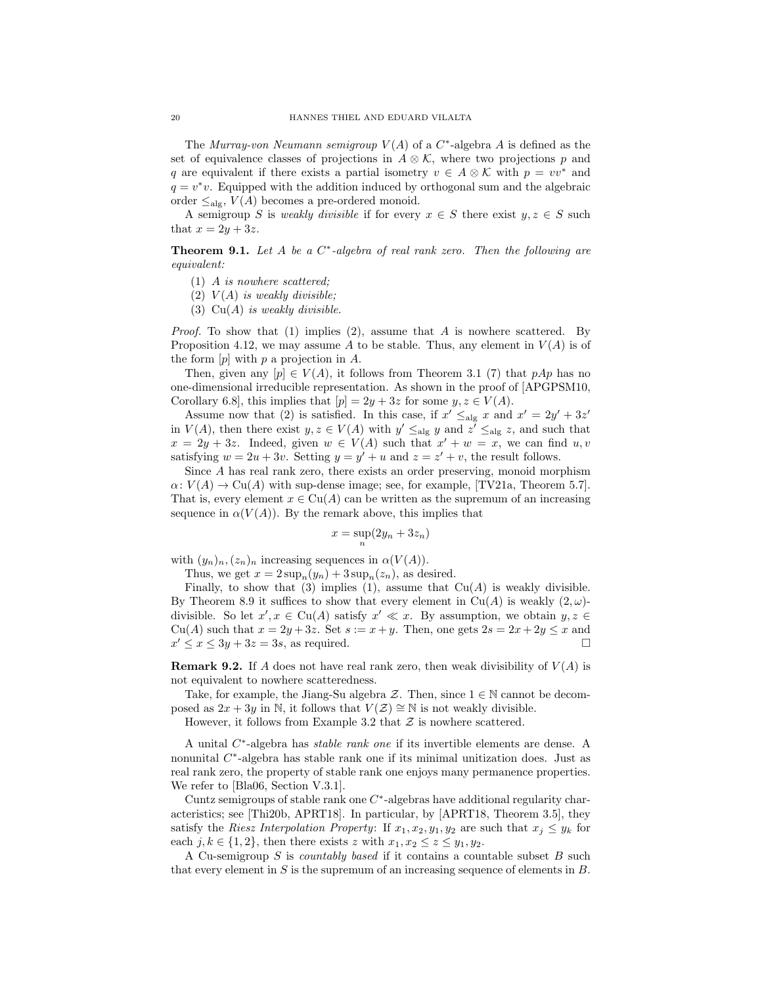The Murray-von Neumann semigroup  $V(A)$  of a  $C^*$ -algebra A is defined as the set of equivalence classes of projections in  $A \otimes \mathcal{K}$ , where two projections p and q are equivalent if there exists a partial isometry  $v \in A \otimes \mathcal{K}$  with  $p = vv^*$  and  $q = v^*v$ . Equipped with the addition induced by orthogonal sum and the algebraic order  $\leq_{\text{alg}}$ ,  $V(A)$  becomes a pre-ordered monoid.

A semigroup S is weakly divisible if for every  $x \in S$  there exist  $y, z \in S$  such that  $x = 2y + 3z$ .

**Theorem 9.1.** Let A be a  $C^*$ -algebra of real rank zero. Then the following are equivalent:

- (1) A is nowhere scattered;
- $(2)$   $V(A)$  is weakly divisible;
- (3)  $Cu(A)$  is weakly divisible.

*Proof.* To show that (1) implies (2), assume that A is nowhere scattered. By Proposition 4.12, we may assume A to be stable. Thus, any element in  $V(A)$  is of the form  $[p]$  with  $p$  a projection in  $A$ .

Then, given any  $[p] \in V(A)$ , it follows from Theorem 3.1 (7) that  $pAp$  has no one-dimensional irreducible representation. As shown in the proof of [APGPSM10, Corollary 6.8], this implies that  $[p] = 2y + 3z$  for some  $y, z \in V(A)$ .

Assume now that (2) is satisfied. In this case, if  $x' \leq_{\text{alg}} x$  and  $x' = 2y' + 3z'$ in  $V(A)$ , then there exist  $y, z \in V(A)$  with  $y' \leq_{\text{alg}} y$  and  $z' \leq_{\text{alg}} z$ , and such that  $x = 2y + 3z$ . Indeed, given  $w \in V(A)$  such that  $x' + w = x$ , we can find  $u, v$ satisfying  $w = 2u + 3v$ . Setting  $y = y' + u$  and  $z = z' + v$ , the result follows.

Since A has real rank zero, there exists an order preserving, monoid morphism  $\alpha: V(A) \to Cu(A)$  with sup-dense image; see, for example, [TV21a, Theorem 5.7]. That is, every element  $x \in Cu(A)$  can be written as the supremum of an increasing sequence in  $\alpha(V(A))$ . By the remark above, this implies that

$$
x = \sup_n (2y_n + 3z_n)
$$

with  $(y_n)_n,(z_n)_n$  increasing sequences in  $\alpha(V(A))$ .

Thus, we get  $x = 2 \sup_n(y_n) + 3 \sup_n(z_n)$ , as desired.

Finally, to show that (3) implies (1), assume that  $Cu(A)$  is weakly divisible. By Theorem 8.9 it suffices to show that every element in  $Cu(A)$  is weakly  $(2, \omega)$ divisible. So let  $x', x \in Cu(A)$  satisfy  $x' \ll x$ . By assumption, we obtain  $y, z \in$  $Cu(A)$  such that  $x = 2y + 3z$ . Set  $s := x + y$ . Then, one gets  $2s = 2x + 2y \leq x$  and  $x' \leq x \leq 3y + 3z = 3s$ , as required.

**Remark 9.2.** If A does not have real rank zero, then weak divisibility of  $V(A)$  is not equivalent to nowhere scatteredness.

Take, for example, the Jiang-Su algebra  $\mathcal{Z}$ . Then, since  $1 \in \mathbb{N}$  cannot be decomposed as  $2x + 3y$  in N, it follows that  $V(\mathcal{Z}) \cong \mathbb{N}$  is not weakly divisible.

However, it follows from Example 3.2 that  $\mathcal Z$  is nowhere scattered.

A unital  $C^*$ -algebra has *stable rank one* if its invertible elements are dense. A nonunital C<sup>\*</sup>-algebra has stable rank one if its minimal unitization does. Just as real rank zero, the property of stable rank one enjoys many permanence properties. We refer to [Bla06, Section V.3.1].

Cuntz semigroups of stable rank one  $C^*$ -algebras have additional regularity characteristics; see [Thi20b, APRT18]. In particular, by [APRT18, Theorem 3.5], they satisfy the Riesz Interpolation Property: If  $x_1, x_2, y_1, y_2$  are such that  $x_j \leq y_k$  for each  $j, k \in \{1, 2\}$ , then there exists z with  $x_1, x_2 \leq z \leq y_1, y_2$ .

A Cu-semigroup S is countably based if it contains a countable subset B such that every element in  $S$  is the supremum of an increasing sequence of elements in  $B$ .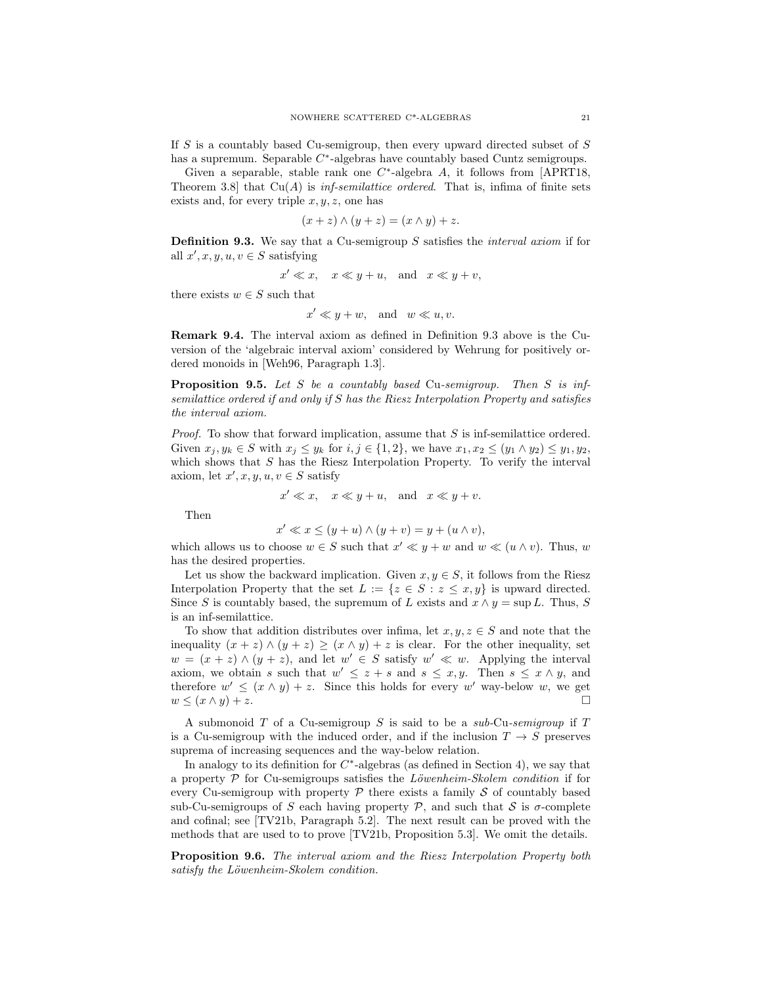If S is a countably based Cu-semigroup, then every upward directed subset of S has a supremum. Separable  $C^*$ -algebras have countably based Cuntz semigroups.

Given a separable, stable rank one  $C^*$ -algebra A, it follows from [APRT18, Theorem 3.8] that  $Cu(A)$  is *inf-semilattice ordered*. That is, infima of finite sets exists and, for every triple  $x, y, z$ , one has

$$
(x+z)\wedge(y+z)=(x\wedge y)+z.
$$

Definition 9.3. We say that a Cu-semigroup S satisfies the interval axiom if for all  $x', x, y, u, v \in S$  satisfying

$$
x' \ll x, \quad x \ll y + u, \quad \text{and} \quad x \ll y + v,
$$

there exists  $w \in S$  such that

$$
x' \ll y + w, \text{ and } w \ll u, v.
$$

Remark 9.4. The interval axiom as defined in Definition 9.3 above is the Cuversion of the 'algebraic interval axiom' considered by Wehrung for positively ordered monoids in [Weh96, Paragraph 1.3].

Proposition 9.5. Let S be a countably based Cu-semigroup. Then S is infsemilattice ordered if and only if S has the Riesz Interpolation Property and satisfies the interval axiom.

Proof. To show that forward implication, assume that S is inf-semilattice ordered. Given  $x_j, y_k \in S$  with  $x_j \leq y_k$  for  $i, j \in \{1, 2\}$ , we have  $x_1, x_2 \leq (y_1 \wedge y_2) \leq y_1, y_2$ , which shows that  $S$  has the Riesz Interpolation Property. To verify the interval axiom, let  $x', x, y, u, v \in S$  satisfy

$$
x' \ll x, \quad x \ll y + u, \quad \text{and} \quad x \ll y + v.
$$

Then

$$
x' \ll x \le (y+u) \land (y+v) = y + (u \land v),
$$

which allows us to choose  $w \in S$  such that  $x' \ll y + w$  and  $w \ll (u \wedge v)$ . Thus, w has the desired properties.

Let us show the backward implication. Given  $x, y \in S$ , it follows from the Riesz Interpolation Property that the set  $L := \{z \in S : z \leq x, y\}$  is upward directed. Since S is countably based, the supremum of L exists and  $x \wedge y = \sup L$ . Thus, S is an inf-semilattice.

To show that addition distributes over infima, let  $x, y, z \in S$  and note that the inequality  $(x + z) \wedge (y + z) \ge (x \wedge y) + z$  is clear. For the other inequality, set  $w = (x + z) \wedge (y + z)$ , and let  $w' \in S$  satisfy  $w' \ll w$ . Applying the interval axiom, we obtain s such that  $w' \leq z + s$  and  $s \leq x, y$ . Then  $s \leq x \wedge y$ , and therefore  $w' \leq (x \wedge y) + z$ . Since this holds for every w' way-below w, we get  $w \leq (x \wedge y) + z.$ 

A submonoid T of a Cu-semigroup S is said to be a  $sub$ -Cu-semigroup if T is a Cu-semigroup with the induced order, and if the inclusion  $T \to S$  preserves suprema of increasing sequences and the way-below relation.

In analogy to its definition for  $C^*$ -algebras (as defined in Section 4), we say that a property  $P$  for Cu-semigroups satisfies the Löwenheim-Skolem condition if for every Cu-semigroup with property  $P$  there exists a family  $S$  of countably based sub-Cu-semigroups of S each having property  $P$ , and such that S is  $\sigma$ -complete and cofinal; see [TV21b, Paragraph 5.2]. The next result can be proved with the methods that are used to to prove [TV21b, Proposition 5.3]. We omit the details.

Proposition 9.6. The interval axiom and the Riesz Interpolation Property both satisfy the Löwenheim-Skolem condition.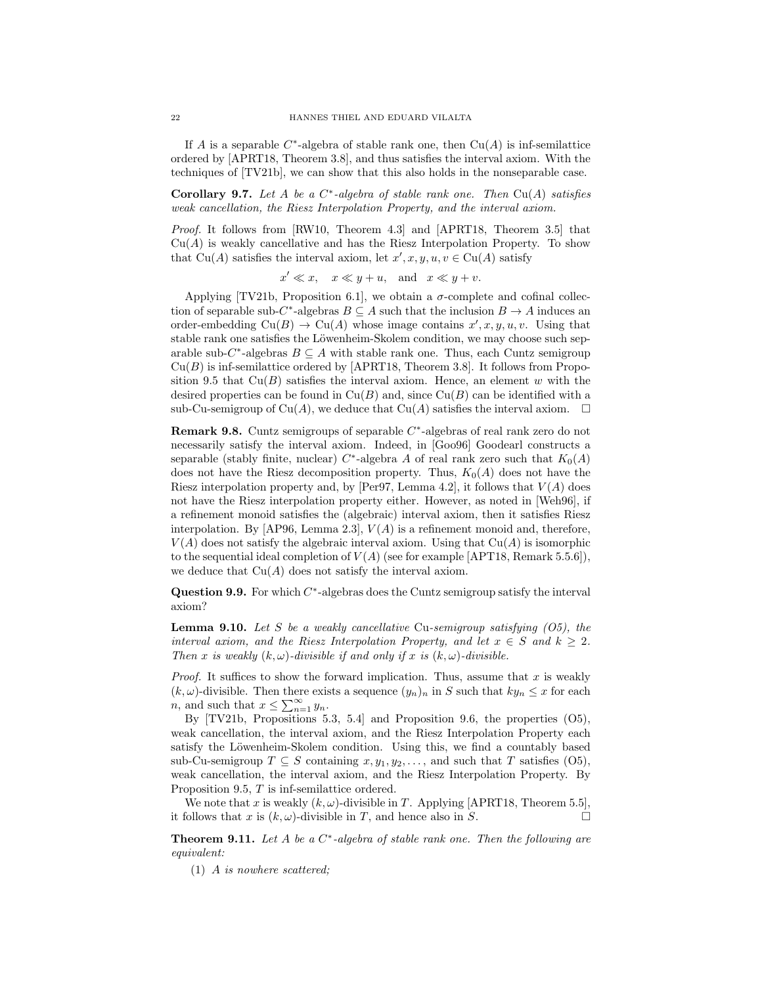If A is a separable  $C^*$ -algebra of stable rank one, then  $Cu(A)$  is inf-semilattice ordered by [APRT18, Theorem 3.8], and thus satisfies the interval axiom. With the techniques of [TV21b], we can show that this also holds in the nonseparable case.

**Corollary 9.7.** Let A be a  $C^*$ -algebra of stable rank one. Then  $Cu(A)$  satisfies weak cancellation, the Riesz Interpolation Property, and the interval axiom.

Proof. It follows from [RW10, Theorem 4.3] and [APRT18, Theorem 3.5] that  $Cu(A)$  is weakly cancellative and has the Riesz Interpolation Property. To show that Cu(A) satisfies the interval axiom, let  $x', x, y, u, v \in Cu(A)$  satisfy

 $x' \ll x$ ,  $x \ll y + u$ , and  $x \ll y + v$ .

Applying [TV21b, Proposition 6.1], we obtain a  $\sigma$ -complete and cofinal collection of separable sub- $C^*$ -algebras  $B \subseteq A$  such that the inclusion  $B \to A$  induces an order-embedding  $\text{Cu}(B) \to \text{Cu}(A)$  whose image contains  $x', x, y, u, v$ . Using that stable rank one satisfies the Löwenheim-Skolem condition, we may choose such separable sub- $C^*$ -algebras  $B \subseteq A$  with stable rank one. Thus, each Cuntz semigroup  $Cu(B)$  is inf-semilattice ordered by [APRT18, Theorem 3.8]. It follows from Proposition 9.5 that  $Cu(B)$  satisfies the interval axiom. Hence, an element w with the desired properties can be found in  $Cu(B)$  and, since  $Cu(B)$  can be identified with a sub-Cu-semigroup of Cu(A), we deduce that Cu(A) satisfies the interval axiom.  $\square$ 

**Remark 9.8.** Cuntz semigroups of separable  $C^*$ -algebras of real rank zero do not necessarily satisfy the interval axiom. Indeed, in [Goo96] Goodearl constructs a separable (stably finite, nuclear)  $C^*$ -algebra A of real rank zero such that  $K_0(A)$ does not have the Riesz decomposition property. Thus,  $K_0(A)$  does not have the Riesz interpolation property and, by [Per97, Lemma 4.2], it follows that  $V(A)$  does not have the Riesz interpolation property either. However, as noted in [Weh96], if a refinement monoid satisfies the (algebraic) interval axiom, then it satisfies Riesz interpolation. By [AP96, Lemma 2.3],  $V(A)$  is a refinement monoid and, therefore,  $V(A)$  does not satisfy the algebraic interval axiom. Using that  $Cu(A)$  is isomorphic to the sequential ideal completion of  $V(A)$  (see for example [APT18, Remark 5.5.6]), we deduce that  $Cu(A)$  does not satisfy the interval axiom.

**Question 9.9.** For which  $C^*$ -algebras does the Cuntz semigroup satisfy the interval axiom?

**Lemma 9.10.** Let S be a weakly cancellative Cu-semigroup satisfying  $(05)$ , the interval axiom, and the Riesz Interpolation Property, and let  $x \in S$  and  $k \geq 2$ . Then x is weakly  $(k, \omega)$ -divisible if and only if x is  $(k, \omega)$ -divisible.

*Proof.* It suffices to show the forward implication. Thus, assume that  $x$  is weakly  $(k, \omega)$ -divisible. Then there exists a sequence  $(y_n)_n$  in S such that  $ky_n \leq x$  for each *n*, and such that  $x \le \sum_{n=1}^{\infty} y_n$ .

By [TV21b, Propositions 5.3, 5.4] and Proposition 9.6, the properties (O5), weak cancellation, the interval axiom, and the Riesz Interpolation Property each satisfy the Löwenheim-Skolem condition. Using this, we find a countably based sub-Cu-semigroup  $T \subseteq S$  containing  $x, y_1, y_2, \ldots$ , and such that T satisfies (O5), weak cancellation, the interval axiom, and the Riesz Interpolation Property. By Proposition 9.5, T is inf-semilattice ordered.

We note that x is weakly  $(k, \omega)$ -divisible in T. Applying [APRT18, Theorem 5.5]. it follows that x is  $(k, \omega)$ -divisible in T, and hence also in S.

**Theorem 9.11.** Let A be a  $C^*$ -algebra of stable rank one. Then the following are equivalent:

(1) A is nowhere scattered;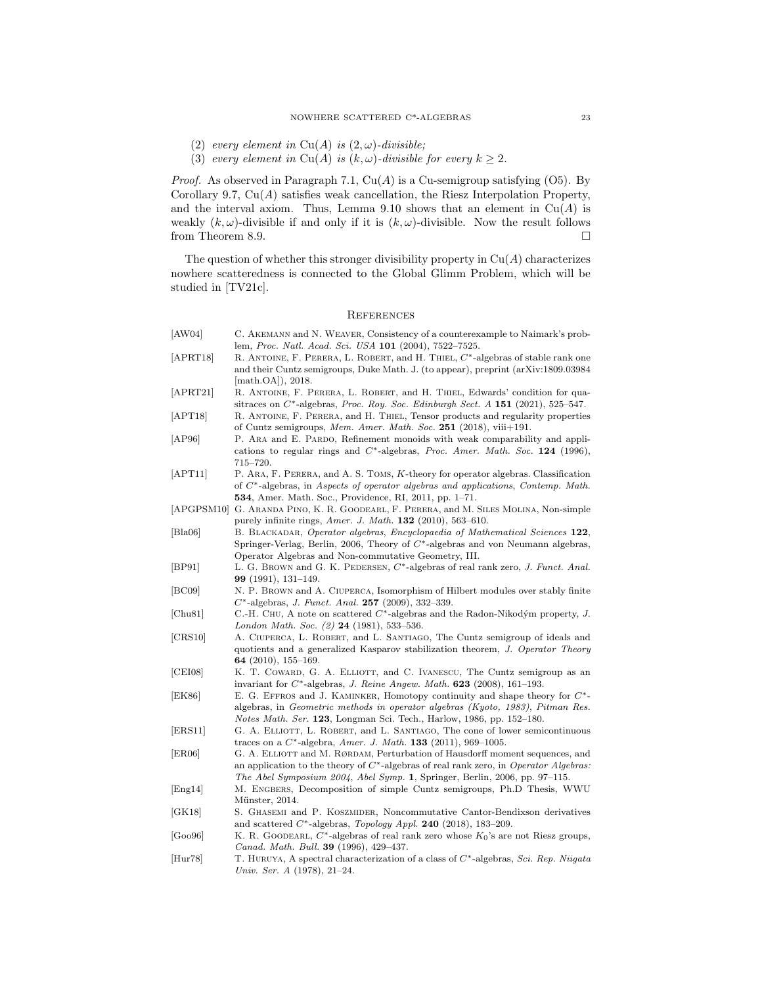- (2) every element in Cu(A) is  $(2, \omega)$ -divisible;
- (3) every element in Cu(A) is  $(k, \omega)$ -divisible for every  $k \geq 2$ .

*Proof.* As observed in Paragraph 7.1,  $Cu(A)$  is a Cu-semigroup satisfying (O5). By Corollary 9.7,  $Cu(A)$  satisfies weak cancellation, the Riesz Interpolation Property, and the interval axiom. Thus, Lemma 9.10 shows that an element in  $Cu(A)$  is weakly  $(k, \omega)$ -divisible if and only if it is  $(k, \omega)$ -divisible. Now the result follows from Theorem 8.9.  $\Box$ 

The question of whether this stronger divisibility property in  $Cu(A)$  characterizes nowhere scatteredness is connected to the Global Glimm Problem, which will be studied in [TV21c].

### **REFERENCES**

| [AW04]                | C. AKEMANN and N. WEAVER, Consistency of a counterexample to Naimark's prob-                                                                                                                                                                                                |
|-----------------------|-----------------------------------------------------------------------------------------------------------------------------------------------------------------------------------------------------------------------------------------------------------------------------|
| [APRT18]              | lem, Proc. Natl. Acad. Sci. USA 101 (2004), 7522-7525.<br>R. ANTOINE, F. PERERA, L. ROBERT, and H. THIEL, $C^*$ -algebras of stable rank one<br>and their Cuntz semigroups, Duke Math. J. (to appear), preprint (arXiv:1809.03984<br>$\vert \mathrm{math.OA} \vert$ , 2018. |
| [APRT21]              | R. ANTOINE, F. PERERA, L. ROBERT, and H. THIEL, Edwards' condition for qua-<br>sitraces on $C^*$ -algebras, <i>Proc. Roy. Soc. Edinburgh Sect. A</i> 151 (2021), 525–547.                                                                                                   |
| [APT18]               | R. ANTOINE, F. PERERA, and H. THIEL, Tensor products and regularity properties<br>of Cuntz semigroups, Mem. Amer. Math. Soc. 251 (2018), viii+191.                                                                                                                          |
| [AP96]                | P. ARA and E. PARDO, Refinement monoids with weak comparability and appli-<br>cations to regular rings and $C^*$ -algebras, <i>Proc. Amer. Math. Soc.</i> 124 (1996),<br>$715 - 720.$                                                                                       |
| [APT11]               | P. ARA, F. PERERA, and A. S. TOMS, K-theory for operator algebras. Classification<br>of $C^*$ -algebras, in Aspects of operator algebras and applications, Contemp. Math.<br><b>534</b> , Amer. Math. Soc., Providence, RI, 2011, pp. 1–71.                                 |
|                       | [APGPSM10] G. ARANDA PINO, K. R. GOODEARL, F. PERERA, and M. SILES MOLINA, Non-simple<br>purely infinite rings, <i>Amer. J. Math.</i> <b>132</b> (2010), 563-610.                                                                                                           |
| $[\text{Bla}06]$      | B. BLACKADAR, Operator algebras, Encyclopaedia of Mathematical Sciences 122,<br>Springer-Verlag, Berlin, 2006, Theory of $C^*$ -algebras and von Neumann algebras,<br>Operator Algebras and Non-commutative Geometry, III.                                                  |
| [BP91]                | L. G. BROWN and G. K. PEDERSEN, C*-algebras of real rank zero, J. Funct. Anal.<br><b>99</b> (1991), $131-149$ .                                                                                                                                                             |
| [BC09]                | N. P. BROWN and A. CIUPERCA, Isomorphism of Hilbert modules over stably finite<br>$C^*$ -algebras, J. Funct. Anal. 257 (2009), 332-339.                                                                                                                                     |
| [Chu81]               | C.-H. CHU, A note on scattered $C^*$ -algebras and the Radon-Nikodým property, J.<br>London Math. Soc. $(2)$ 24 $(1981)$ , 533-536.                                                                                                                                         |
| [CRS10]               | A. CIUPERCA, L. ROBERT, and L. SANTIAGO, The Cuntz semigroup of ideals and<br>quotients and a generalized Kasparov stabilization theorem, J. Operator Theory<br>64 (2010), $155-169$ .                                                                                      |
| [CEI08]               | K. T. COWARD, G. A. ELLIOTT, and C. IVANESCU, The Cuntz semigroup as an<br>invariant for $C^*$ -algebras, J. Reine Angew. Math. <b>623</b> (2008), 161-193.                                                                                                                 |
| [EK86]                | E. G. EFFROS and J. KAMINKER, Homotopy continuity and shape theory for $C^*$ -<br>algebras, in Geometric methods in operator algebras (Kyoto, 1983), Pitman Res.<br><i>Notes Math. Ser.</i> 123, Longman Sci. Tech., Harlow, 1986, pp. 152–180.                             |
| [ERS11]               | G. A. ELLIOTT, L. ROBERT, and L. SANTIAGO, The cone of lower semicontinuous<br>traces on a $C^*$ -algebra, Amer. J. Math. 133 (2011), 969-1005.                                                                                                                             |
| [ER06]                | G. A. ELLIOTT and M. RØRDAM, Perturbation of Hausdorff moment sequences, and<br>an application to the theory of $C^*$ -algebras of real rank zero, in <i>Operator Algebras:</i><br>The Abel Symposium 2004, Abel Symp. 1, Springer, Berlin, 2006, pp. 97–115.               |
| $\vert$ Eng14 $\vert$ | M. ENGBERS, Decomposition of simple Cuntz semigroups, Ph.D Thesis, WWU<br>Münster, 2014.                                                                                                                                                                                    |
| $[$ GK18 $]$          | S. GHASEMI and P. KOSZMIDER, Noncommutative Cantor-Bendixson derivatives<br>and scattered $C^*$ -algebras, Topology Appl. 240 (2018), 183–209.                                                                                                                              |
| [Goo96]               | K. R. GOODEARL, $C^*$ -algebras of real rank zero whose $K_0$ 's are not Riesz groups,<br>Canad. Math. Bull. 39 (1996), 429-437.                                                                                                                                            |
|                       |                                                                                                                                                                                                                                                                             |

[Hur78] T. Huruya, A spectral characterization of a class of C∗-algebras, Sci. Rep. Niigata Univ. Ser. A (1978), 21–24.